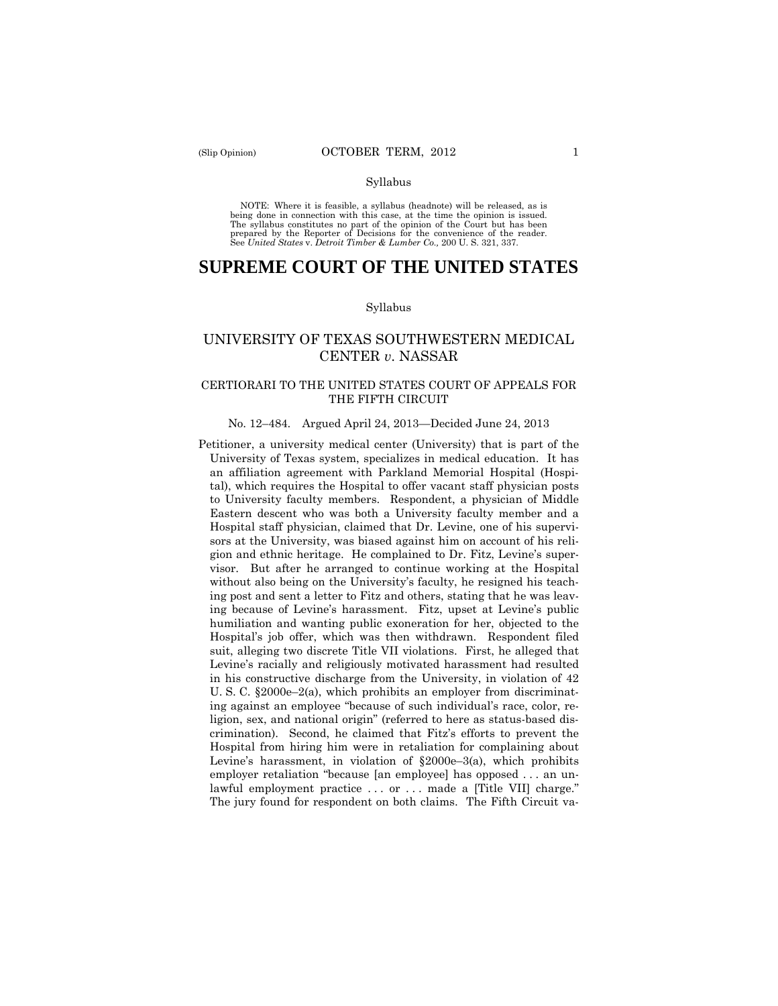#### Syllabus

 NOTE: Where it is feasible, a syllabus (headnote) will be released, as is being done in connection with this case, at the time the opinion is issued. The syllabus constitutes no part of the opinion of the Court but has been<br>prepared by the Reporter of Decisions for the convenience of the reader.<br>See United States v. Detroit Timber & Lumber Co., 200 U.S. 321, 337.

# **SUPREME COURT OF THE UNITED STATES**

#### Syllabus

# UNIVERSITY OF TEXAS SOUTHWESTERN MEDICAL CENTER *v*. NASSAR

### CERTIORARI TO THE UNITED STATES COURT OF APPEALS FOR THE FIFTH CIRCUIT

#### No. 12–484. Argued April 24, 2013—Decided June 24, 2013

Petitioner, a university medical center (University) that is part of the University of Texas system, specializes in medical education. It has an affiliation agreement with Parkland Memorial Hospital (Hospital), which requires the Hospital to offer vacant staff physician posts to University faculty members. Respondent, a physician of Middle Eastern descent who was both a University faculty member and a Hospital staff physician, claimed that Dr. Levine, one of his supervisors at the University, was biased against him on account of his religion and ethnic heritage. He complained to Dr. Fitz, Levine's supervisor. But after he arranged to continue working at the Hospital without also being on the University's faculty, he resigned his teaching post and sent a letter to Fitz and others, stating that he was leaving because of Levine's harassment. Fitz, upset at Levine's public humiliation and wanting public exoneration for her, objected to the Hospital's job offer, which was then withdrawn. Respondent filed suit, alleging two discrete Title VII violations. First, he alleged that Levine's racially and religiously motivated harassment had resulted in his constructive discharge from the University, in violation of 42 U. S. C. §2000e–2(a), which prohibits an employer from discriminating against an employee "because of such individual's race, color, religion, sex, and national origin" (referred to here as status-based discrimination). Second, he claimed that Fitz's efforts to prevent the Hospital from hiring him were in retaliation for complaining about Levine's harassment, in violation of §2000e–3(a), which prohibits employer retaliation "because [an employee] has opposed . . . an unlawful employment practice ... or ... made a [Title VII] charge." The jury found for respondent on both claims. The Fifth Circuit va-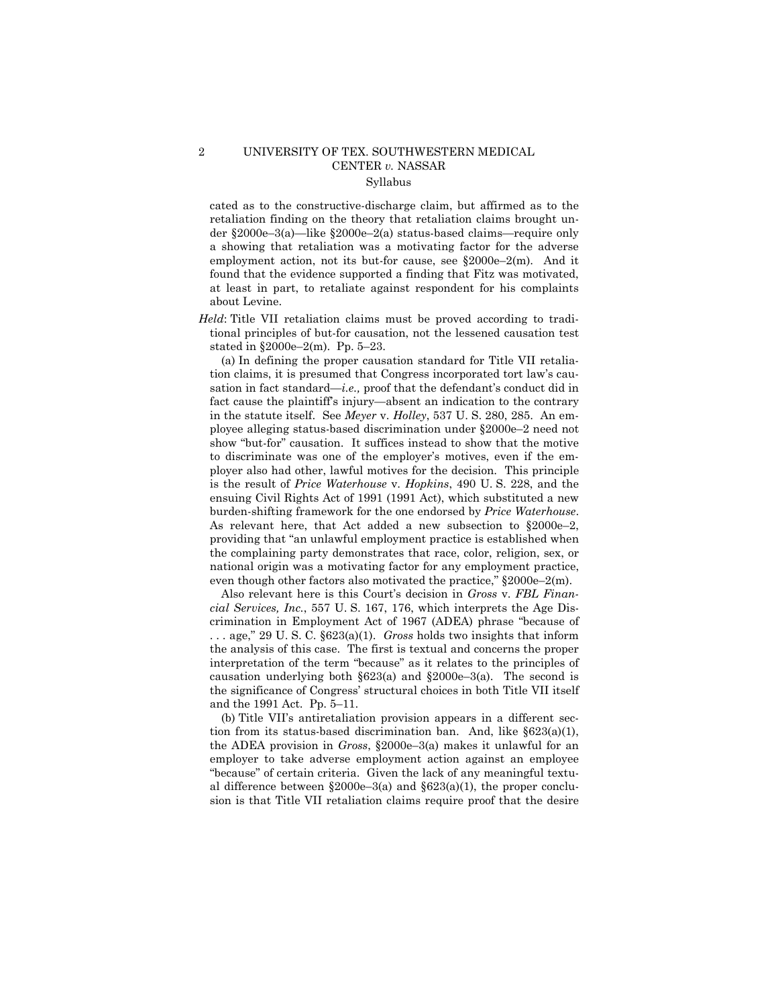### 2 UNIVERSITY OF TEX. SOUTHWESTERN MEDICAL CENTER *v.* NASSAR Syllabus

cated as to the constructive-discharge claim, but affirmed as to the retaliation finding on the theory that retaliation claims brought under §2000e–3(a)—like §2000e–2(a) status-based claims—require only a showing that retaliation was a motivating factor for the adverse employment action, not its but-for cause, see  $$2000e-2(m)$ . And it found that the evidence supported a finding that Fitz was motivated, at least in part, to retaliate against respondent for his complaints about Levine.

*Held*: Title VII retaliation claims must be proved according to traditional principles of but-for causation, not the lessened causation test stated in §2000e–2(m). Pp. 5–23.

(a) In defining the proper causation standard for Title VII retaliation claims, it is presumed that Congress incorporated tort law's causation in fact standard—*i.e.,* proof that the defendant's conduct did in fact cause the plaintiff's injury—absent an indication to the contrary in the statute itself. See *Meyer* v. *Holley*, 537 U. S. 280, 285. An employee alleging status-based discrimination under §2000e–2 need not show "but-for" causation. It suffices instead to show that the motive to discriminate was one of the employer's motives, even if the employer also had other, lawful motives for the decision. This principle is the result of *Price Waterhouse* v. *Hopkins*, 490 U. S. 228, and the ensuing Civil Rights Act of 1991 (1991 Act), which substituted a new burden-shifting framework for the one endorsed by *Price Waterhouse*. As relevant here, that Act added a new subsection to §2000e–2, providing that "an unlawful employment practice is established when the complaining party demonstrates that race, color, religion, sex, or national origin was a motivating factor for any employment practice, even though other factors also motivated the practice," §2000e–2(m).

Also relevant here is this Court's decision in *Gross* v. *FBL Financial Services, Inc.*, 557 U. S. 167, 176, which interprets the Age Discrimination in Employment Act of 1967 (ADEA) phrase "because of . . . age," 29 U. S. C. §623(a)(1). *Gross* holds two insights that inform the analysis of this case. The first is textual and concerns the proper interpretation of the term "because" as it relates to the principles of causation underlying both §623(a) and §2000e–3(a). The second is the significance of Congress' structural choices in both Title VII itself and the 1991 Act. Pp. 5–11.

(b) Title VII's antiretaliation provision appears in a different section from its status-based discrimination ban. And, like §623(a)(1), the ADEA provision in *Gross*, §2000e–3(a) makes it unlawful for an employer to take adverse employment action against an employee "because" of certain criteria. Given the lack of any meaningful textual difference between  $\S2000e-3(a)$  and  $\S623(a)(1)$ , the proper conclusion is that Title VII retaliation claims require proof that the desire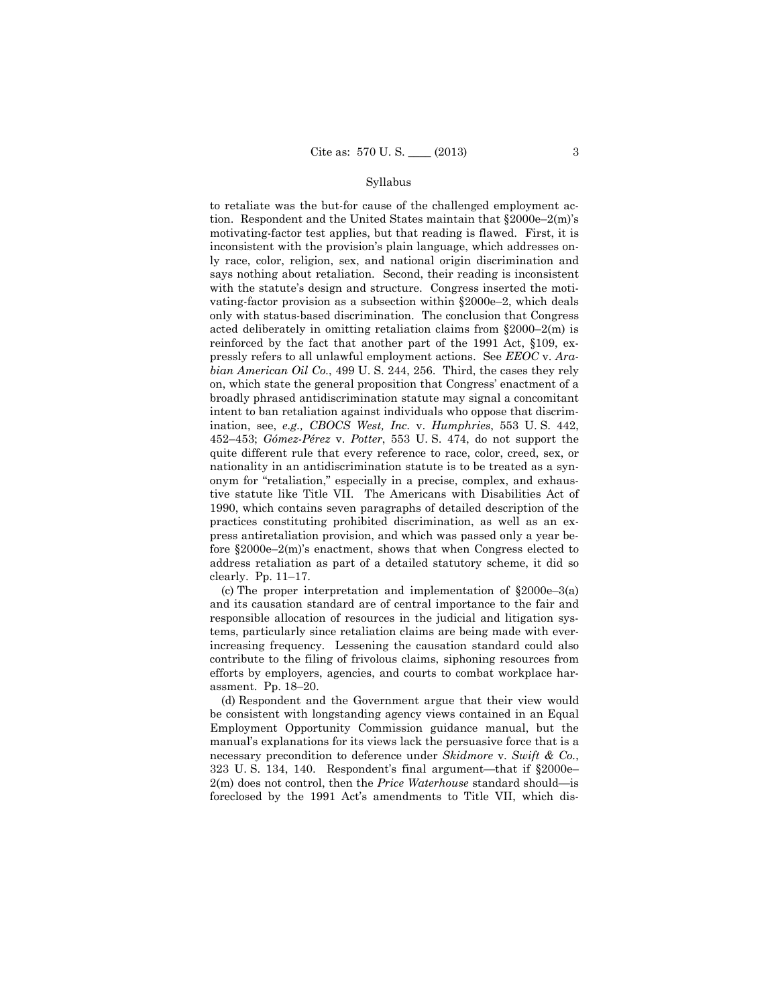#### Syllabus

to retaliate was the but-for cause of the challenged employment action. Respondent and the United States maintain that §2000e–2(m)'s motivating-factor test applies, but that reading is flawed. First, it is inconsistent with the provision's plain language, which addresses only race, color, religion, sex, and national origin discrimination and says nothing about retaliation. Second, their reading is inconsistent with the statute's design and structure. Congress inserted the motivating-factor provision as a subsection within §2000e–2, which deals only with status-based discrimination. The conclusion that Congress acted deliberately in omitting retaliation claims from §2000–2(m) is reinforced by the fact that another part of the 1991 Act, §109, expressly refers to all unlawful employment actions. See *EEOC* v. *Arabian American Oil Co.*, 499 U. S. 244, 256. Third, the cases they rely on, which state the general proposition that Congress' enactment of a broadly phrased antidiscrimination statute may signal a concomitant intent to ban retaliation against individuals who oppose that discrimination, see, *e.g., CBOCS West, Inc.* v. *Humphries*, 553 U. S. 442, 452–453; *Gómez-Pérez* v. *Potter*, 553 U. S. 474, do not support the quite different rule that every reference to race, color, creed, sex, or nationality in an antidiscrimination statute is to be treated as a synonym for "retaliation," especially in a precise, complex, and exhaustive statute like Title VII. The Americans with Disabilities Act of 1990, which contains seven paragraphs of detailed description of the practices constituting prohibited discrimination, as well as an express antiretaliation provision, and which was passed only a year before §2000e–2(m)'s enactment, shows that when Congress elected to address retaliation as part of a detailed statutory scheme, it did so clearly. Pp. 11–17.

(c) The proper interpretation and implementation of  $\S 2000e-3(a)$ and its causation standard are of central importance to the fair and responsible allocation of resources in the judicial and litigation systems, particularly since retaliation claims are being made with everincreasing frequency. Lessening the causation standard could also contribute to the filing of frivolous claims, siphoning resources from efforts by employers, agencies, and courts to combat workplace harassment. Pp. 18–20.

(d) Respondent and the Government argue that their view would be consistent with longstanding agency views contained in an Equal Employment Opportunity Commission guidance manual, but the manual's explanations for its views lack the persuasive force that is a necessary precondition to deference under *Skidmore* v. *Swift & Co.*, 323 U. S. 134, 140. Respondent's final argument—that if §2000e– 2(m) does not control, then the *Price Waterhouse* standard should—is foreclosed by the 1991 Act's amendments to Title VII, which dis-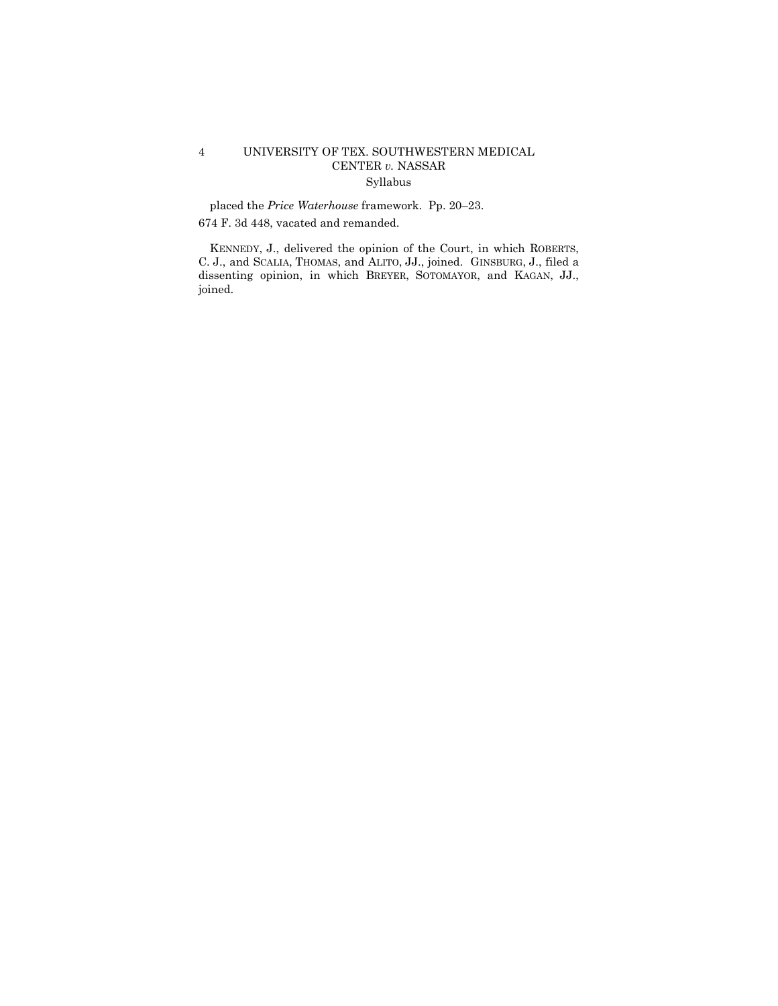### 4 UNIVERSITY OF TEX. SOUTHWESTERN MEDICAL CENTER *v.* NASSAR Syllabus

placed the *Price Waterhouse* framework. Pp. 20–23. 674 F. 3d 448, vacated and remanded.

KENNEDY, J., delivered the opinion of the Court, in which ROBERTS, C. J., and SCALIA, THOMAS, and ALITO, JJ., joined. GINSBURG, J., filed a dissenting opinion, in which BREYER, SOTOMAYOR, and KAGAN, JJ., joined.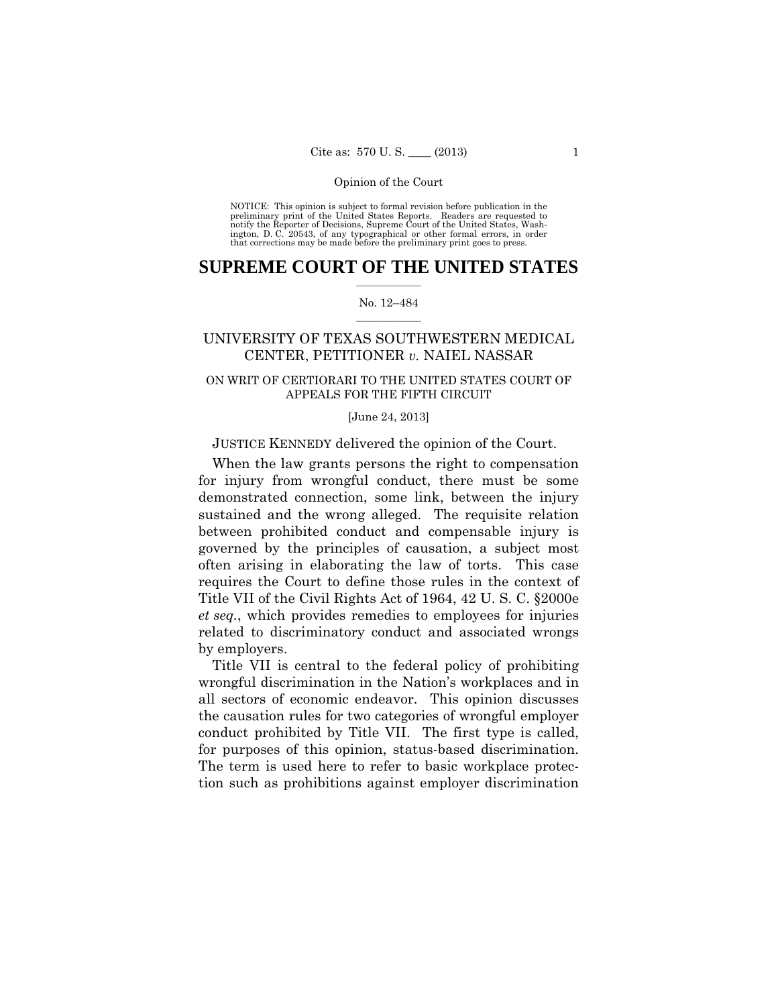preliminary print of the United States Reports. Readers are requested to notify the Reporter of Decisions, Supreme Court of the United States, Wash- ington, D. C. 20543, of any typographical or other formal errors, in order that corrections may be made before the preliminary print goes to press. NOTICE: This opinion is subject to formal revision before publication in the

### $\frac{1}{2}$  ,  $\frac{1}{2}$  ,  $\frac{1}{2}$  ,  $\frac{1}{2}$  ,  $\frac{1}{2}$  ,  $\frac{1}{2}$  ,  $\frac{1}{2}$ **SUPREME COURT OF THE UNITED STATES**

### $\frac{1}{2}$  ,  $\frac{1}{2}$  ,  $\frac{1}{2}$  ,  $\frac{1}{2}$  ,  $\frac{1}{2}$  ,  $\frac{1}{2}$ No. 12–484

## UNIVERSITY OF TEXAS SOUTHWESTERN MEDICAL CENTER, PETITIONER *v.* NAIEL NASSAR

### ON WRIT OF CERTIORARI TO THE UNITED STATES COURT OF APPEALS FOR THE FIFTH CIRCUIT

#### [June 24, 2013]

### JUSTICE KENNEDY delivered the opinion of the Court.

When the law grants persons the right to compensation for injury from wrongful conduct, there must be some demonstrated connection, some link, between the injury sustained and the wrong alleged. The requisite relation between prohibited conduct and compensable injury is governed by the principles of causation, a subject most often arising in elaborating the law of torts. This case requires the Court to define those rules in the context of Title VII of the Civil Rights Act of 1964, 42 U. S. C. §2000e *et seq.*, which provides remedies to employees for injuries related to discriminatory conduct and associated wrongs by employers.

Title VII is central to the federal policy of prohibiting wrongful discrimination in the Nation's workplaces and in all sectors of economic endeavor. This opinion discusses the causation rules for two categories of wrongful employer conduct prohibited by Title VII. The first type is called, for purposes of this opinion, status-based discrimination. The term is used here to refer to basic workplace protection such as prohibitions against employer discrimination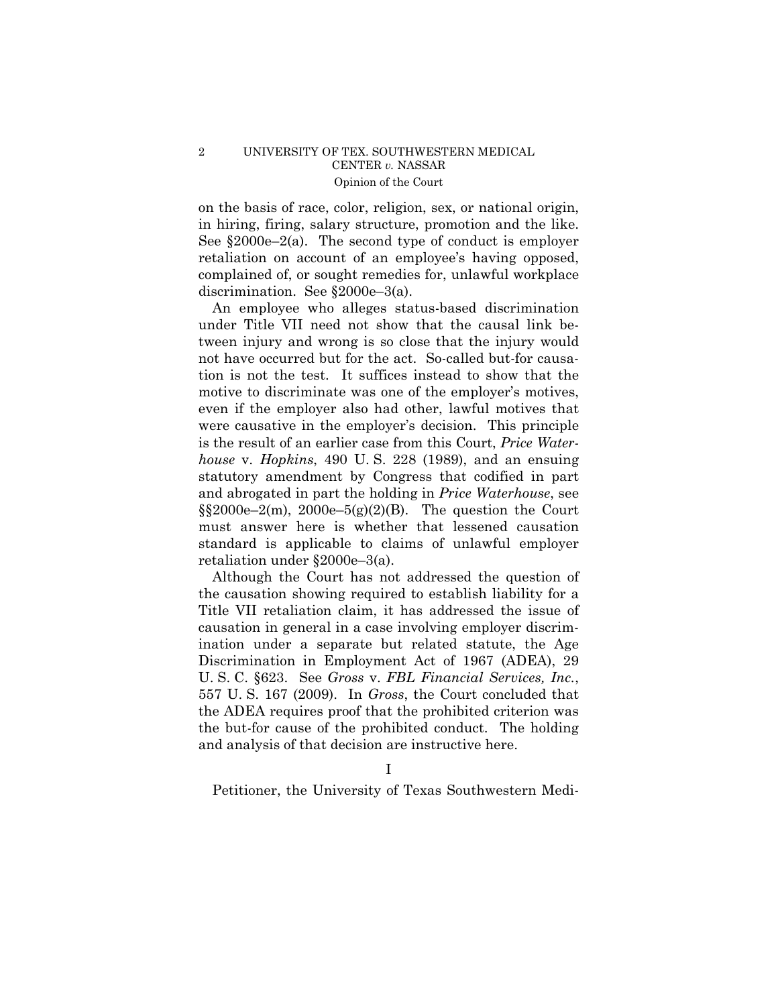### 2 UNIVERSITY OF TEX. SOUTHWESTERN MEDICAL CENTER *v.* NASSAR Opinion of the Court

on the basis of race, color, religion, sex, or national origin, in hiring, firing, salary structure, promotion and the like. See  $\S 2000e-2(a)$ . The second type of conduct is employer retaliation on account of an employee's having opposed, complained of, or sought remedies for, unlawful workplace discrimination. See §2000e–3(a).

An employee who alleges status-based discrimination under Title VII need not show that the causal link between injury and wrong is so close that the injury would not have occurred but for the act. So-called but-for causation is not the test. It suffices instead to show that the motive to discriminate was one of the employer's motives, even if the employer also had other, lawful motives that were causative in the employer's decision. This principle is the result of an earlier case from this Court, *Price Waterhouse* v. *Hopkins*, 490 U. S. 228 (1989), and an ensuing statutory amendment by Congress that codified in part and abrogated in part the holding in *Price Waterhouse*, see  $\S$ \$2000e–2(m), 2000e–5(g)(2)(B). The question the Court must answer here is whether that lessened causation standard is applicable to claims of unlawful employer retaliation under §2000e–3(a).

Although the Court has not addressed the question of the causation showing required to establish liability for a Title VII retaliation claim, it has addressed the issue of causation in general in a case involving employer discrimination under a separate but related statute, the Age Discrimination in Employment Act of 1967 (ADEA), 29 U. S. C. §623. See *Gross* v. *FBL Financial Services, Inc.*, 557 U. S. 167 (2009). In *Gross*, the Court concluded that the ADEA requires proof that the prohibited criterion was the but-for cause of the prohibited conduct. The holding and analysis of that decision are instructive here.

I

Petitioner, the University of Texas Southwestern Medi-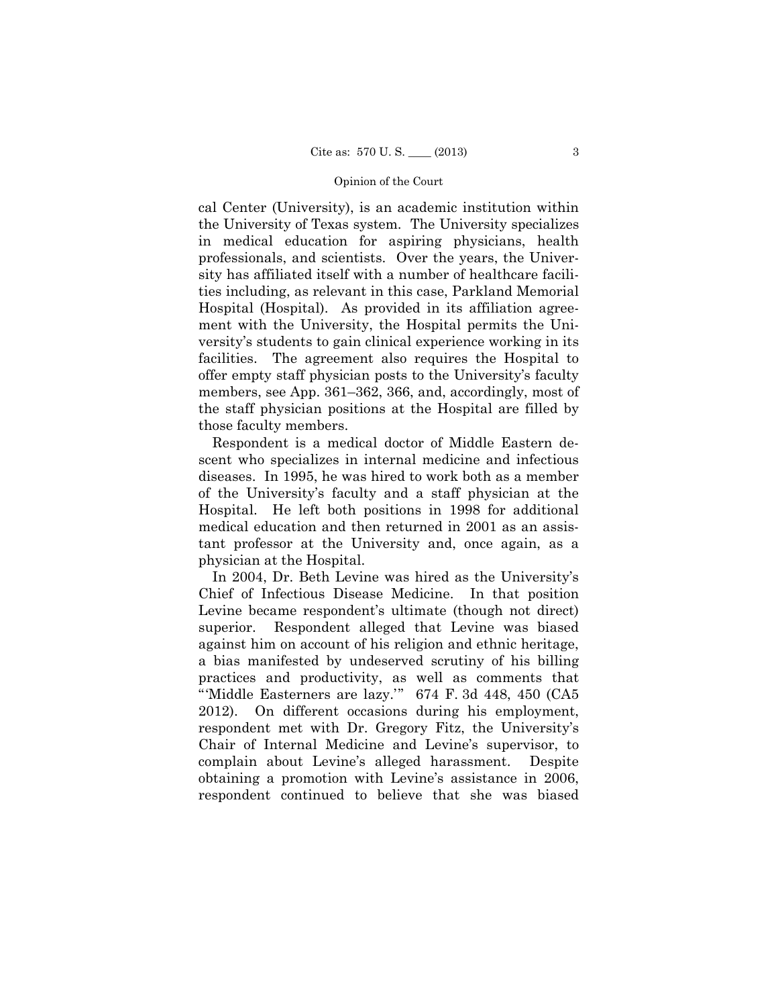cal Center (University), is an academic institution within the University of Texas system. The University specializes in medical education for aspiring physicians, health professionals, and scientists. Over the years, the University has affiliated itself with a number of healthcare facilities including, as relevant in this case, Parkland Memorial Hospital (Hospital). As provided in its affiliation agreement with the University, the Hospital permits the University's students to gain clinical experience working in its facilities. The agreement also requires the Hospital to offer empty staff physician posts to the University's faculty members, see App. 361–362, 366, and, accordingly, most of the staff physician positions at the Hospital are filled by those faculty members.

Respondent is a medical doctor of Middle Eastern descent who specializes in internal medicine and infectious diseases. In 1995, he was hired to work both as a member of the University's faculty and a staff physician at the Hospital. He left both positions in 1998 for additional medical education and then returned in 2001 as an assistant professor at the University and, once again, as a physician at the Hospital.

In 2004, Dr. Beth Levine was hired as the University's Chief of Infectious Disease Medicine. In that position Levine became respondent's ultimate (though not direct) superior. Respondent alleged that Levine was biased against him on account of his religion and ethnic heritage, a bias manifested by undeserved scrutiny of his billing practices and productivity, as well as comments that "'Middle Easterners are lazy.'" 674 F. 3d 448, 450 (CA5 2012). On different occasions during his employment, respondent met with Dr. Gregory Fitz, the University's Chair of Internal Medicine and Levine's supervisor, to complain about Levine's alleged harassment. Despite obtaining a promotion with Levine's assistance in 2006, respondent continued to believe that she was biased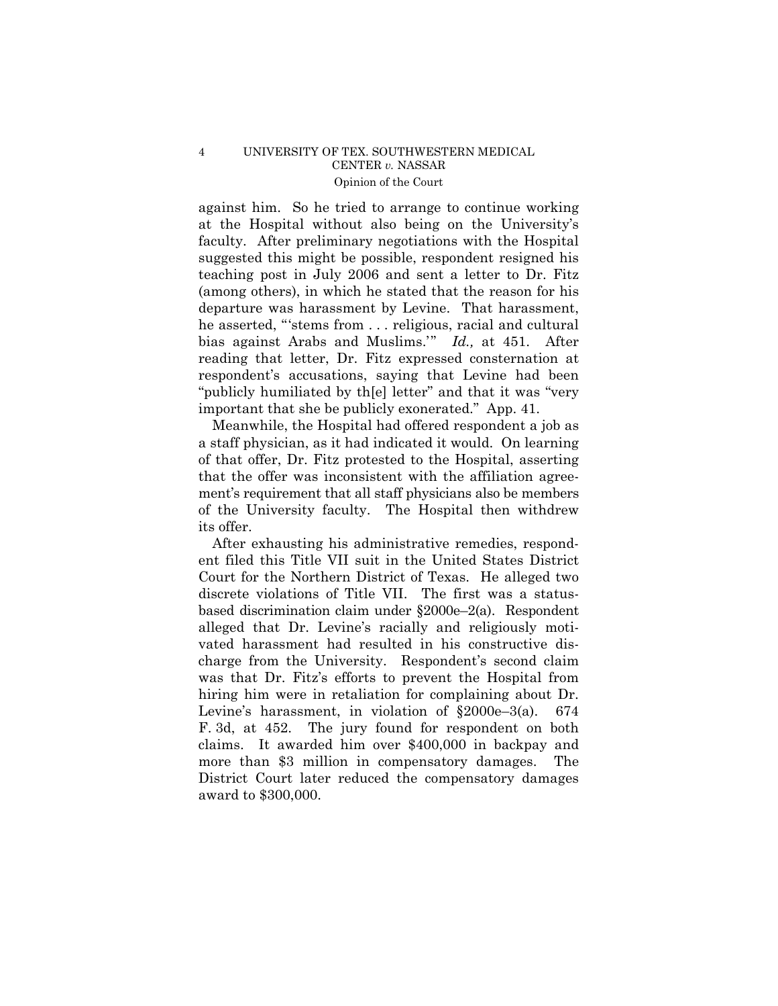### 4 UNIVERSITY OF TEX. SOUTHWESTERN MEDICAL CENTER *v.* NASSAR Opinion of the Court

against him. So he tried to arrange to continue working at the Hospital without also being on the University's faculty. After preliminary negotiations with the Hospital suggested this might be possible, respondent resigned his teaching post in July 2006 and sent a letter to Dr. Fitz (among others), in which he stated that the reason for his departure was harassment by Levine. That harassment, he asserted, "'stems from . . . religious, racial and cultural bias against Arabs and Muslims.'" *Id.,* at 451. After reading that letter, Dr. Fitz expressed consternation at respondent's accusations, saying that Levine had been "publicly humiliated by th[e] letter" and that it was "very important that she be publicly exonerated." App. 41.

Meanwhile, the Hospital had offered respondent a job as a staff physician, as it had indicated it would. On learning of that offer, Dr. Fitz protested to the Hospital, asserting that the offer was inconsistent with the affiliation agreement's requirement that all staff physicians also be members of the University faculty. The Hospital then withdrew its offer.

After exhausting his administrative remedies, respondent filed this Title VII suit in the United States District Court for the Northern District of Texas. He alleged two discrete violations of Title VII. The first was a statusbased discrimination claim under §2000e–2(a). Respondent alleged that Dr. Levine's racially and religiously motivated harassment had resulted in his constructive discharge from the University. Respondent's second claim was that Dr. Fitz's efforts to prevent the Hospital from hiring him were in retaliation for complaining about Dr. Levine's harassment, in violation of  $\S2000e-3(a)$ . 674 F. 3d, at 452. The jury found for respondent on both claims. It awarded him over \$400,000 in backpay and more than \$3 million in compensatory damages. The District Court later reduced the compensatory damages award to \$300,000.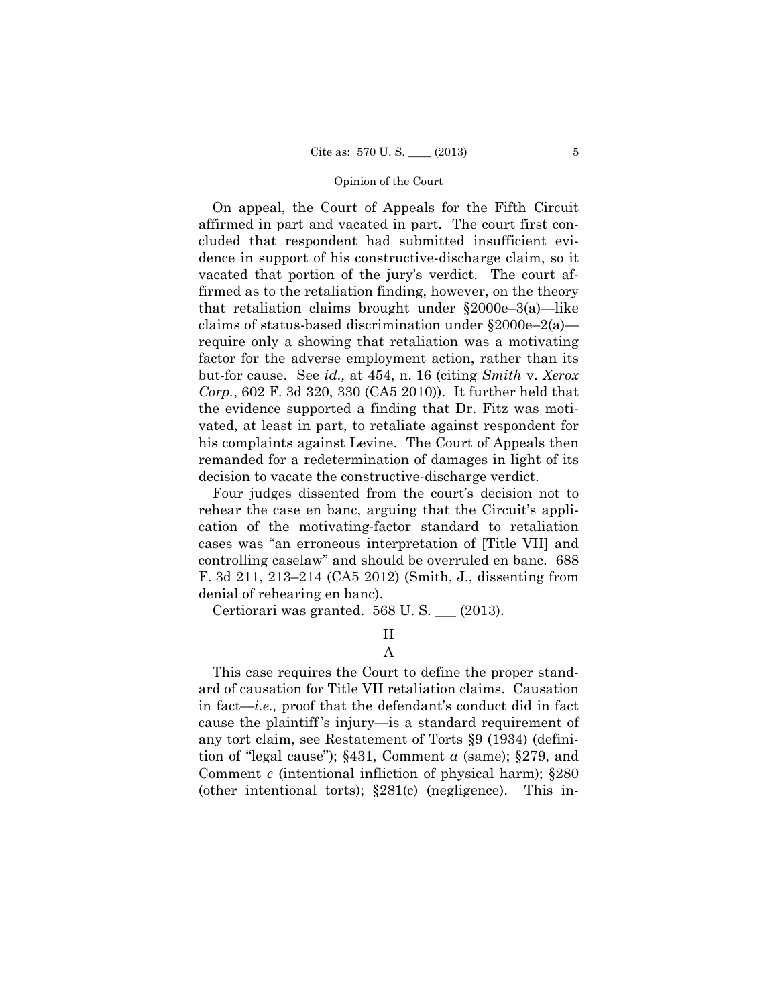On appeal, the Court of Appeals for the Fifth Circuit affirmed in part and vacated in part. The court first concluded that respondent had submitted insufficient evidence in support of his constructive-discharge claim, so it vacated that portion of the jury's verdict. The court affirmed as to the retaliation finding, however, on the theory that retaliation claims brought under §2000e–3(a)—like claims of status-based discrimination under §2000e–2(a) require only a showing that retaliation was a motivating factor for the adverse employment action, rather than its but-for cause. See *id.,* at 454, n. 16 (citing *Smith* v. *Xerox Corp.*, 602 F. 3d 320, 330 (CA5 2010)). It further held that the evidence supported a finding that Dr. Fitz was motivated, at least in part, to retaliate against respondent for his complaints against Levine. The Court of Appeals then remanded for a redetermination of damages in light of its decision to vacate the constructive-discharge verdict.

Four judges dissented from the court's decision not to rehear the case en banc, arguing that the Circuit's application of the motivating-factor standard to retaliation cases was "an erroneous interpretation of [Title VII] and controlling caselaw" and should be overruled en banc. 688 F. 3d 211, 213–214 (CA5 2012) (Smith, J., dissenting from denial of rehearing en banc).

Certiorari was granted.  $568$  U.S.  $\_\_$  (2013).

### II A

This case requires the Court to define the proper standard of causation for Title VII retaliation claims. Causation in fact—*i.e.,* proof that the defendant's conduct did in fact cause the plaintiff 's injury—is a standard requirement of any tort claim, see Restatement of Torts §9 (1934) (definition of "legal cause"); §431, Comment *a* (same); §279, and Comment *c* (intentional infliction of physical harm); §280 (other intentional torts); §281(c) (negligence). This in-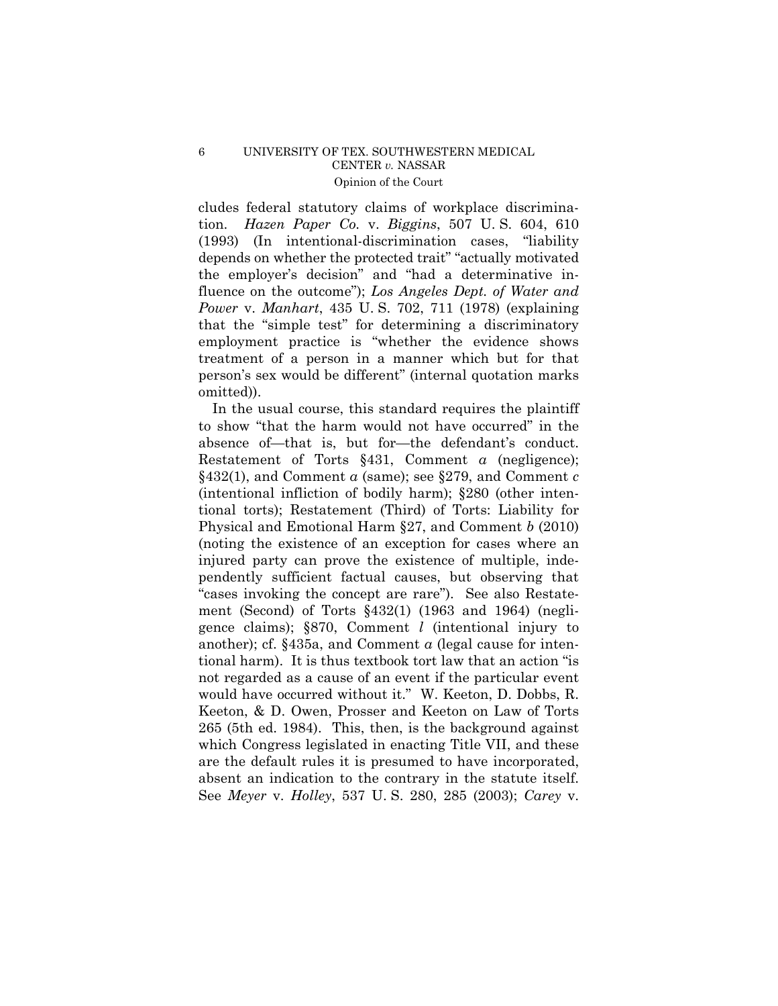### 6 UNIVERSITY OF TEX. SOUTHWESTERN MEDICAL CENTER *v.* NASSAR Opinion of the Court

cludes federal statutory claims of workplace discrimination. *Hazen Paper Co.* v. *Biggins*, 507 U. S. 604, 610 (1993) (In intentional-discrimination cases, "liability depends on whether the protected trait" "actually motivated the employer's decision" and "had a determinative influence on the outcome"); *Los Angeles Dept. of Water and Power* v. *Manhart*, 435 U. S. 702, 711 (1978) (explaining that the "simple test" for determining a discriminatory employment practice is "whether the evidence shows treatment of a person in a manner which but for that person's sex would be different" (internal quotation marks omitted)).

absence of that is, but for the defendant's conduct. absent an indication to the contrary in the statute itself. In the usual course, this standard requires the plaintiff to show "that the harm would not have occurred" in the Restatement of Torts §431, Comment  $\alpha$  (negligence); §432(1), and Comment *a* (same); see §279, and Comment *c*  (intentional infliction of bodily harm); §280 (other intentional torts); Restatement (Third) of Torts: Liability for Physical and Emotional Harm §27, and Comment *b* (2010) (noting the existence of an exception for cases where an injured party can prove the existence of multiple, independently sufficient factual causes, but observing that "cases invoking the concept are rare"). See also Restatement (Second) of Torts §432(1) (1963 and 1964) (negligence claims); §870, Comment *l* (intentional injury to another); cf. §435a, and Comment *a* (legal cause for intentional harm). It is thus textbook tort law that an action "is not regarded as a cause of an event if the particular event would have occurred without it." W. Keeton, D. Dobbs, R. Keeton, & D. Owen, Prosser and Keeton on Law of Torts 265 (5th ed. 1984). This, then, is the background against which Congress legislated in enacting Title VII, and these are the default rules it is presumed to have incorporated, See *Meyer* v. *Holley*, 537 U. S. 280, 285 (2003); *Carey* v.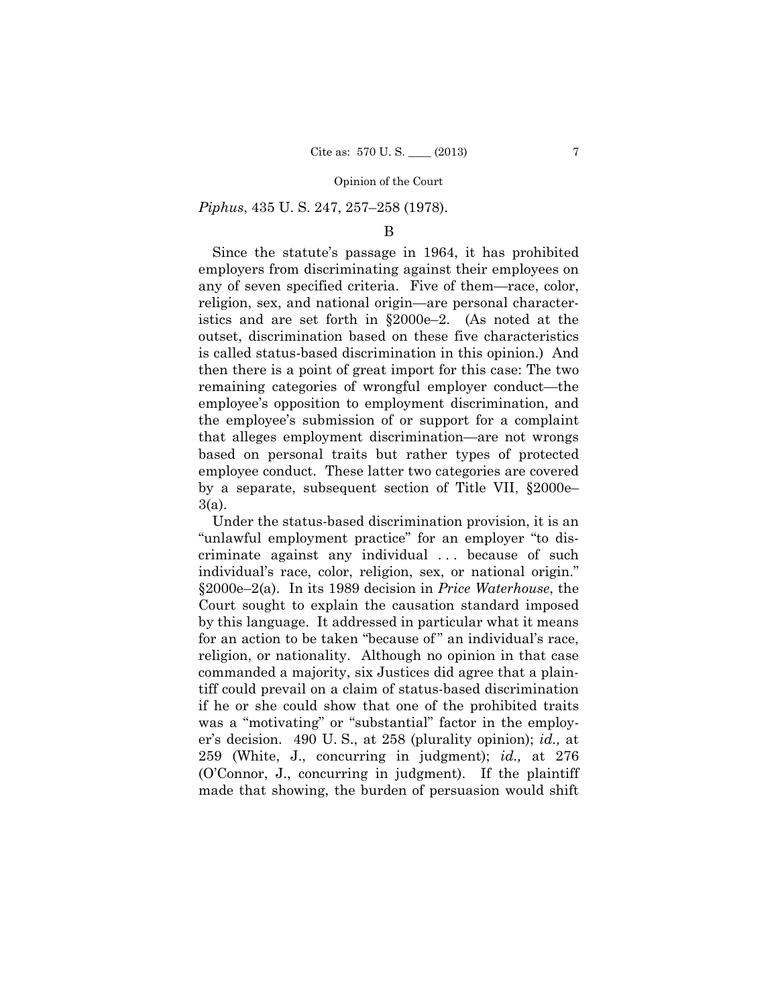### *Piphus*, 435 U. S. 247, 257–258 (1978).

### B

Since the statute's passage in 1964, it has prohibited employers from discriminating against their employees on any of seven specified criteria. Five of them—race, color, religion, sex, and national origin—are personal characteristics and are set forth in §2000e–2. (As noted at the outset, discrimination based on these five characteristics is called status-based discrimination in this opinion.) And then there is a point of great import for this case: The two remaining categories of wrongful employer conduct—the employee's opposition to employment discrimination, and the employee's submission of or support for a complaint that alleges employment discrimination—are not wrongs based on personal traits but rather types of protected employee conduct. These latter two categories are covered by a separate, subsequent section of Title VII, §2000e– 3(a).

Under the status-based discrimination provision, it is an "unlawful employment practice" for an employer "to discriminate against any individual ... because of such individual's race, color, religion, sex, or national origin." §2000e–2(a). In its 1989 decision in *Price Waterhouse*, the Court sought to explain the causation standard imposed by this language. It addressed in particular what it means for an action to be taken "because of" an individual's race, religion, or nationality. Although no opinion in that case commanded a majority, six Justices did agree that a plaintiff could prevail on a claim of status-based discrimination if he or she could show that one of the prohibited traits was a "motivating" or "substantial" factor in the employer's decision. 490 U. S., at 258 (plurality opinion); *id.,* at 259 (White, J., concurring in judgment); *id.,* at 276 (O'Connor, J., concurring in judgment). If the plaintiff made that showing, the burden of persuasion would shift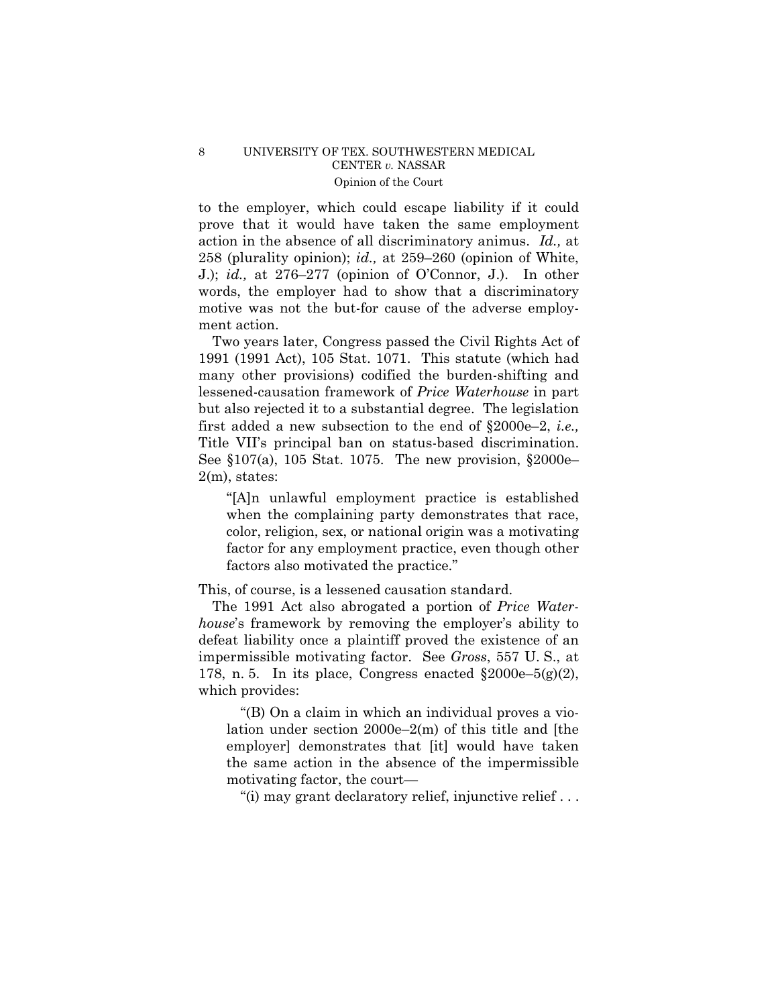### 8 UNIVERSITY OF TEX. SOUTHWESTERN MEDICAL CENTER *v.* NASSAR Opinion of the Court

to the employer, which could escape liability if it could prove that it would have taken the same employment action in the absence of all discriminatory animus. *Id.,* at 258 (plurality opinion); *id.,* at 259–260 (opinion of White, J.); *id.,* at 276–277 (opinion of O'Connor, J.). In other words, the employer had to show that a discriminatory motive was not the but-for cause of the adverse employment action.

Two years later, Congress passed the Civil Rights Act of 1991 (1991 Act), 105 Stat. 1071. This statute (which had many other provisions) codified the burden-shifting and lessened-causation framework of *Price Waterhouse* in part but also rejected it to a substantial degree. The legislation first added a new subsection to the end of §2000e–2, *i.e.,*  Title VII's principal ban on status-based discrimination. See §107(a), 105 Stat. 1075. The new provision, §2000e– 2(m), states:

"[A]n unlawful employment practice is established when the complaining party demonstrates that race, color, religion, sex, or national origin was a motivating factor for any employment practice, even though other factors also motivated the practice."

This, of course, is a lessened causation standard.

The 1991 Act also abrogated a portion of *Price Waterhouse*'s framework by removing the employer's ability to defeat liability once a plaintiff proved the existence of an impermissible motivating factor. See *Gross*, 557 U. S., at 178, n. 5. In its place, Congress enacted  $\S 2000e-5(g)(2)$ , which provides:

"(B) On a claim in which an individual proves a violation under section 2000e–2(m) of this title and [the employer] demonstrates that [it] would have taken the same action in the absence of the impermissible motivating factor, the court—

"(i) may grant declaratory relief, injunctive relief . . .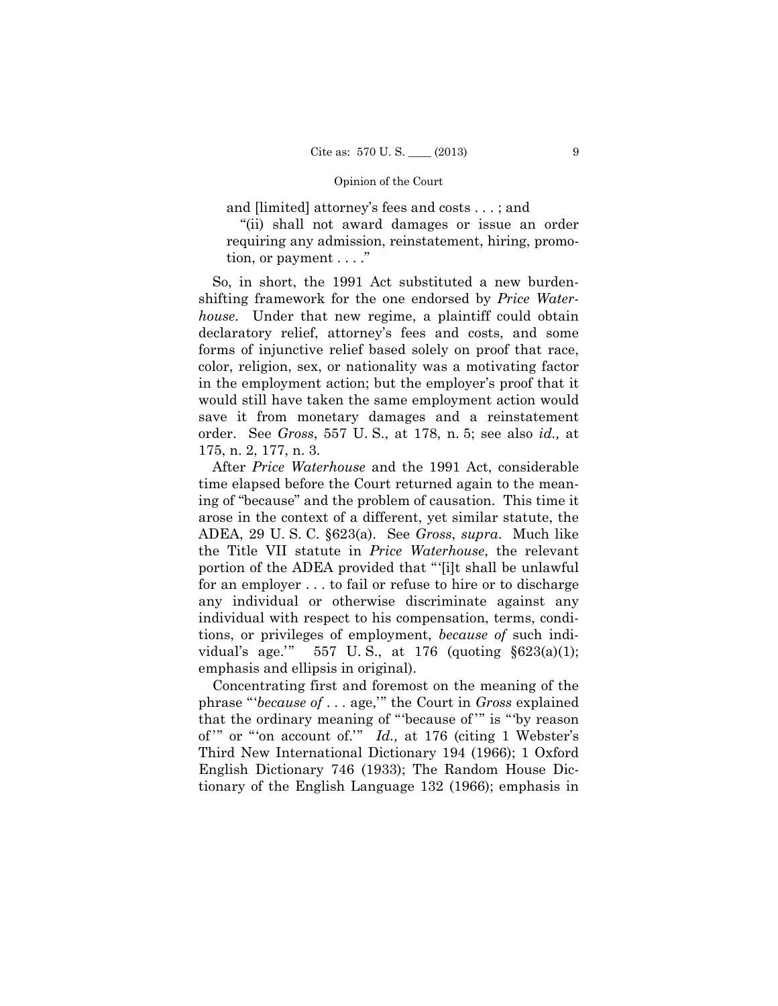and [limited] attorney's fees and costs . . . ; and

"(ii) shall not award damages or issue an order requiring any admission, reinstatement, hiring, promotion, or payment . . . ."

So, in short, the 1991 Act substituted a new burdenshifting framework for the one endorsed by *Price Waterhouse*. Under that new regime, a plaintiff could obtain declaratory relief, attorney's fees and costs, and some forms of injunctive relief based solely on proof that race, color, religion, sex, or nationality was a motivating factor in the employment action; but the employer's proof that it would still have taken the same employment action would save it from monetary damages and a reinstatement order. See *Gross*, 557 U. S., at 178, n. 5; see also *id.,* at 175, n. 2, 177, n. 3.

After *Price Waterhouse* and the 1991 Act, considerable time elapsed before the Court returned again to the meaning of "because" and the problem of causation. This time it arose in the context of a different, yet similar statute, the ADEA, 29 U. S. C. §623(a). See *Gross*, *supra*. Much like the Title VII statute in *Price Waterhouse*, the relevant portion of the ADEA provided that "'[i]t shall be unlawful for an employer . . . to fail or refuse to hire or to discharge any individual or otherwise discriminate against any individual with respect to his compensation, terms, conditions, or privileges of employment, *because of* such individual's age.'" 557 U. S., at 176 (quoting §623(a)(1); emphasis and ellipsis in original).

 phrase "'*because of* . . . age,'" the Court in *Gross* explained Concentrating first and foremost on the meaning of the that the ordinary meaning of "'because of '" is "'by reason of '" or "'on account of.'" *Id.,* at 176 (citing 1 Webster's Third New International Dictionary 194 (1966); 1 Oxford English Dictionary 746 (1933); The Random House Dictionary of the English Language 132 (1966); emphasis in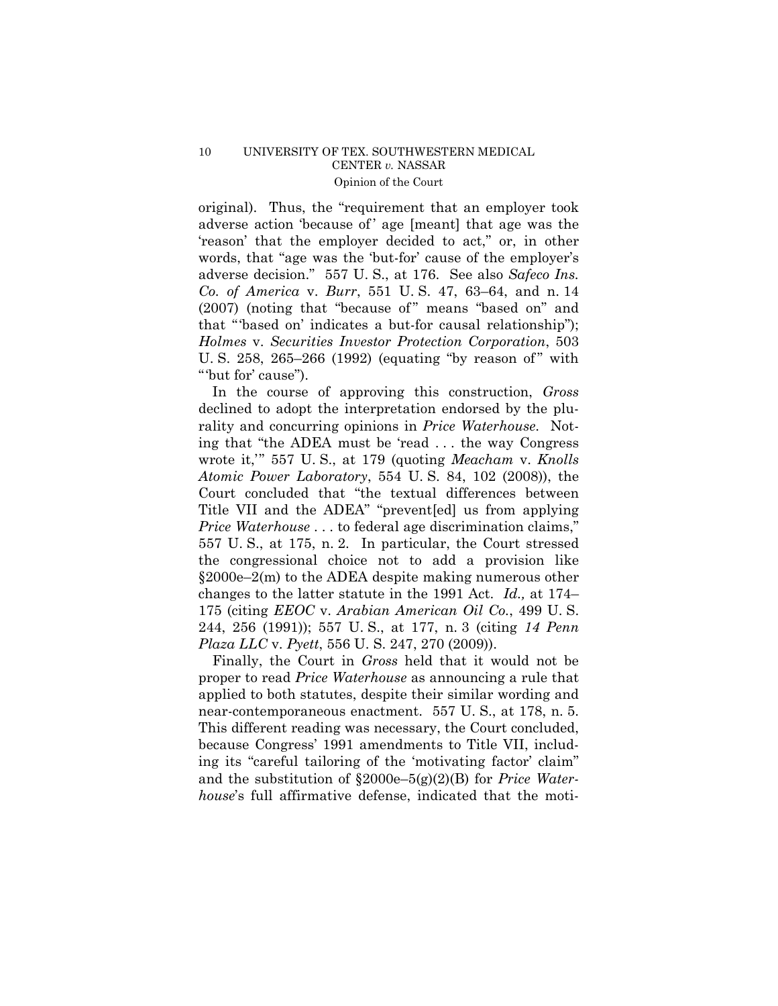original). Thus, the "requirement that an employer took adverse action 'because of' age [meant] that age was the 'reason' that the employer decided to act," or, in other words, that "age was the 'but-for' cause of the employer's adverse decision." 557 U. S., at 176. See also *Safeco Ins. Co. of America* v. *Burr*, 551 U. S. 47, 63–64, and n. 14 (2007) (noting that "because of" means "based on" and that "'based on' indicates a but-for causal relationship"); *Holmes* v. *Securities Investor Protection Corporation*, 503 U. S. 258, 265–266 (1992) (equating "by reason of" with "'but for' cause").

In the course of approving this construction, *Gross*  declined to adopt the interpretation endorsed by the plurality and concurring opinions in *Price Waterhouse*. Noting that "the ADEA must be 'read . . . the way Congress wrote it,'" 557 U. S., at 179 (quoting *Meacham* v. *Knolls Atomic Power Laboratory*, 554 U. S. 84, 102 (2008)), the Court concluded that "the textual differences between Title VII and the ADEA" "prevent[ed] us from applying *Price Waterhouse* . . . to federal age discrimination claims," 557 U. S., at 175, n. 2. In particular, the Court stressed the congressional choice not to add a provision like §2000e–2(m) to the ADEA despite making numerous other changes to the latter statute in the 1991 Act. *Id.,* at 174– 175 (citing *EEOC* v. *Arabian American Oil Co.*, 499 U. S. 244, 256 (1991)); 557 U. S., at 177, n. 3 (citing *14 Penn Plaza LLC* v. *Pyett*, 556 U. S. 247, 270 (2009)).

Finally, the Court in *Gross* held that it would not be proper to read *Price Waterhouse* as announcing a rule that applied to both statutes, despite their similar wording and near-contemporaneous enactment. 557 U. S., at 178, n. 5. This different reading was necessary, the Court concluded, because Congress' 1991 amendments to Title VII, including its "careful tailoring of the 'motivating factor' claim" and the substitution of §2000e–5(g)(2)(B) for *Price Waterhouse*'s full affirmative defense, indicated that the moti-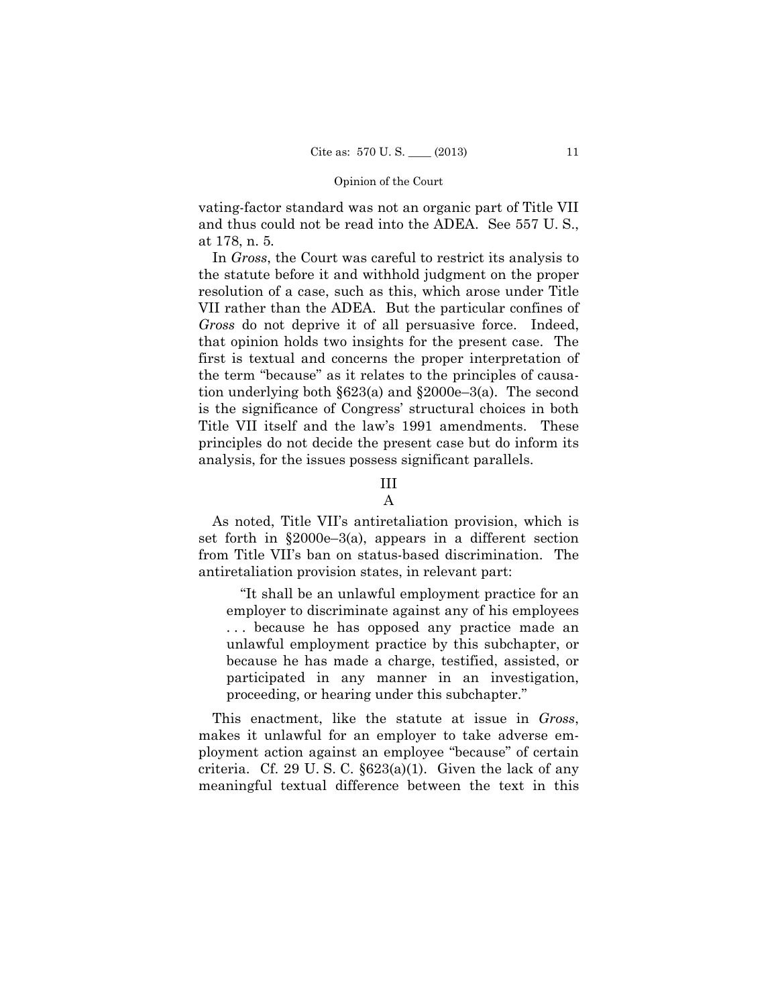vating-factor standard was not an organic part of Title VII and thus could not be read into the ADEA. See 557 U. S., at 178, n. 5*.*

 In *Gross*, the Court was careful to restrict its analysis to the statute before it and withhold judgment on the proper resolution of a case, such as this, which arose under Title VII rather than the ADEA. But the particular confines of *Gross* do not deprive it of all persuasive force. Indeed, that opinion holds two insights for the present case. The first is textual and concerns the proper interpretation of the term "because" as it relates to the principles of causation underlying both §623(a) and §2000e–3(a). The second is the significance of Congress' structural choices in both Title VII itself and the law's 1991 amendments. These principles do not decide the present case but do inform its analysis, for the issues possess significant parallels.

# III

### A

As noted, Title VII's antiretaliation provision, which is set forth in §2000e–3(a), appears in a different section from Title VII's ban on status-based discrimination. The antiretaliation provision states, in relevant part:

"It shall be an unlawful employment practice for an employer to discriminate against any of his employees . . . because he has opposed any practice made an unlawful employment practice by this subchapter, or because he has made a charge, testified, assisted, or participated in any manner in an investigation, proceeding, or hearing under this subchapter."

This enactment, like the statute at issue in *Gross*, makes it unlawful for an employer to take adverse employment action against an employee "because" of certain criteria. Cf. 29 U.S.C.  $\S623(a)(1)$ . Given the lack of any meaningful textual difference between the text in this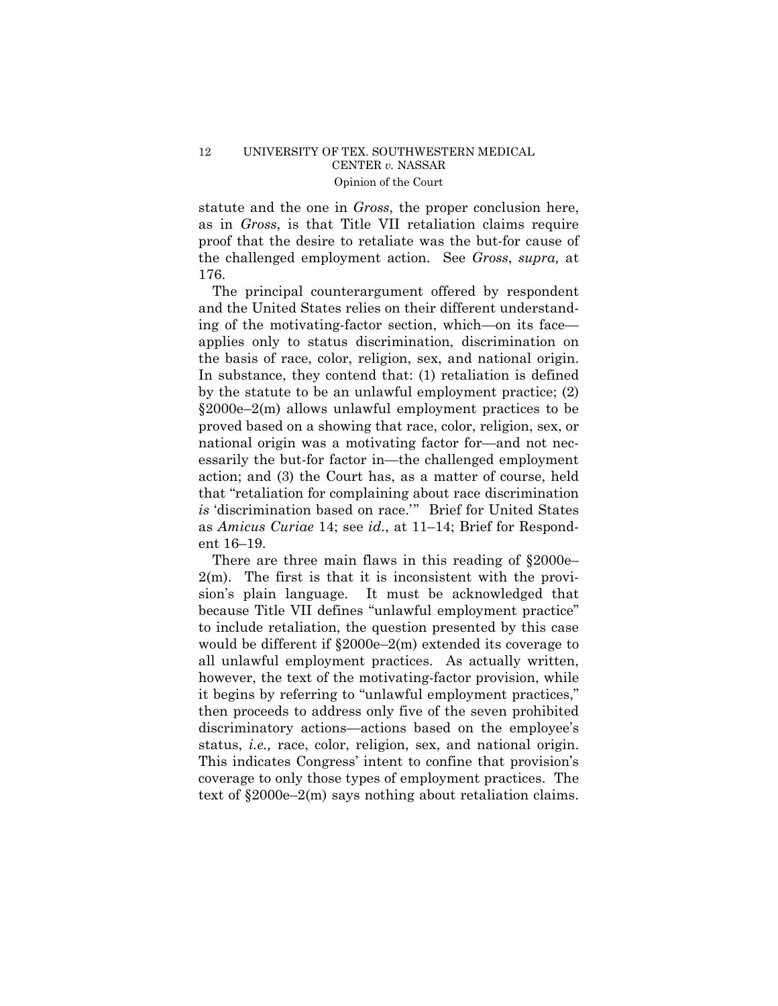### 12 UNIVERSITY OF TEX. SOUTHWESTERN MEDICAL CENTER *v.* NASSAR Opinion of the Court

statute and the one in *Gross*, the proper conclusion here, as in *Gross*, is that Title VII retaliation claims require proof that the desire to retaliate was the but-for cause of the challenged employment action. See *Gross*, *supra,* at 176.

The principal counterargument offered by respondent and the United States relies on their different understanding of the motivating-factor section, which—on its face applies only to status discrimination, discrimination on the basis of race, color, religion, sex, and national origin. In substance, they contend that: (1) retaliation is defined by the statute to be an unlawful employment practice; (2) §2000e–2(m) allows unlawful employment practices to be proved based on a showing that race, color, religion, sex, or national origin was a motivating factor for—and not necessarily the but-for factor in—the challenged employment action; and (3) the Court has, as a matter of course, held that "retaliation for complaining about race discrimination *is* 'discrimination based on race.'" Brief for United States as *Amicus Curiae* 14; see *id.*, at 11–14; Brief for Respondent 16–19.

There are three main flaws in this reading of §2000e–  $2(m)$ . The first is that it is inconsistent with the provision's plain language. It must be acknowledged that because Title VII defines "unlawful employment practice" to include retaliation, the question presented by this case would be different if  $$2000e-2(m)$  extended its coverage to all unlawful employment practices. As actually written, however, the text of the motivating-factor provision, while it begins by referring to "unlawful employment practices," then proceeds to address only five of the seven prohibited discriminatory actions—actions based on the employee's status, *i.e.,* race, color, religion, sex, and national origin. This indicates Congress' intent to confine that provision's coverage to only those types of employment practices. The text of §2000e–2(m) says nothing about retaliation claims.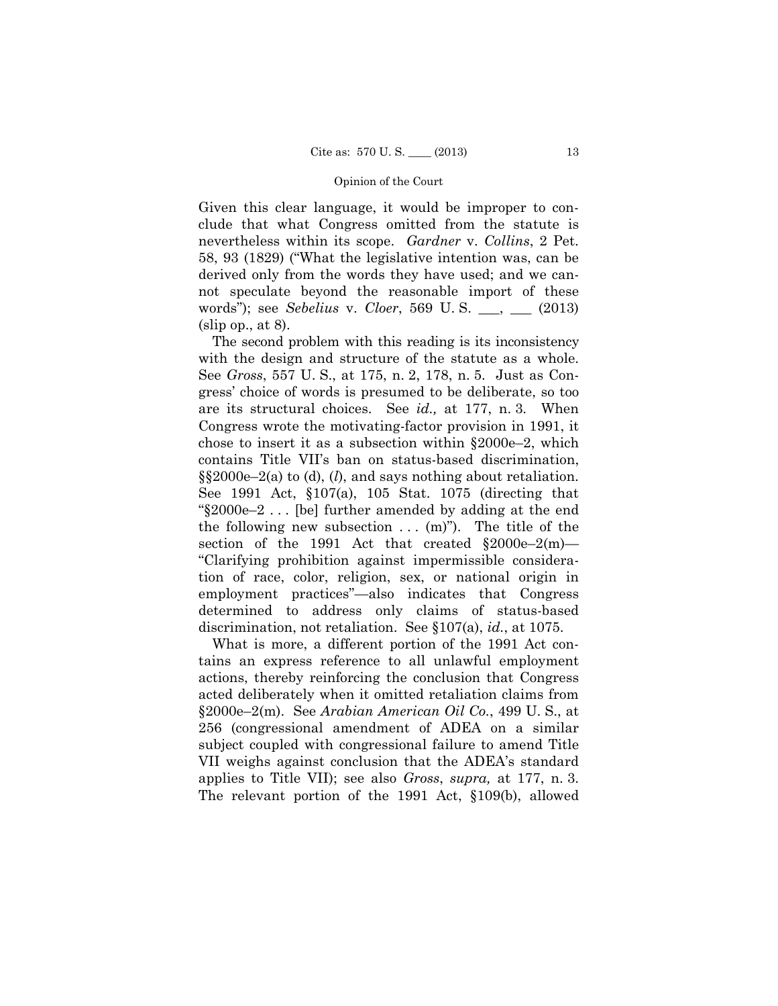Given this clear language, it would be improper to conclude that what Congress omitted from the statute is nevertheless within its scope. *Gardner* v. *Collins*, 2 Pet. 58, 93 (1829) ("What the legislative intention was, can be derived only from the words they have used; and we cannot speculate beyond the reasonable import of these words"); see *Sebelius* v. *Cloer*, 569 U. S. \_\_\_, \_\_\_ (2013)  $(slip$  op., at 8).

 are its structural choices. See *id.,* at 177, n. 3*.* When The second problem with this reading is its inconsistency with the design and structure of the statute as a whole. See *Gross*, 557 U. S., at 175, n. 2, 178, n. 5. Just as Congress' choice of words is presumed to be deliberate, so too Congress wrote the motivating-factor provision in 1991, it chose to insert it as a subsection within §2000e–2, which contains Title VII's ban on status-based discrimination, §§2000e–2(a) to (d), (*l*), and says nothing about retaliation. See 1991 Act, §107(a), 105 Stat. 1075 (directing that "§2000e–2 . . . [be] further amended by adding at the end the following new subsection  $\ldots$  (m)"). The title of the section of the 1991 Act that created §2000e–2(m)— "Clarifying prohibition against impermissible consideration of race, color, religion, sex, or national origin in employment practices"—also indicates that Congress determined to address only claims of status-based discrimination, not retaliation. See §107(a), *id.*, at 1075.

What is more, a different portion of the 1991 Act contains an express reference to all unlawful employment actions, thereby reinforcing the conclusion that Congress acted deliberately when it omitted retaliation claims from §2000e–2(m). See *Arabian American Oil Co.*, 499 U. S., at 256 (congressional amendment of ADEA on a similar subject coupled with congressional failure to amend Title VII weighs against conclusion that the ADEA's standard applies to Title VII); see also *Gross*, *supra,* at 177, n. 3. The relevant portion of the 1991 Act, §109(b), allowed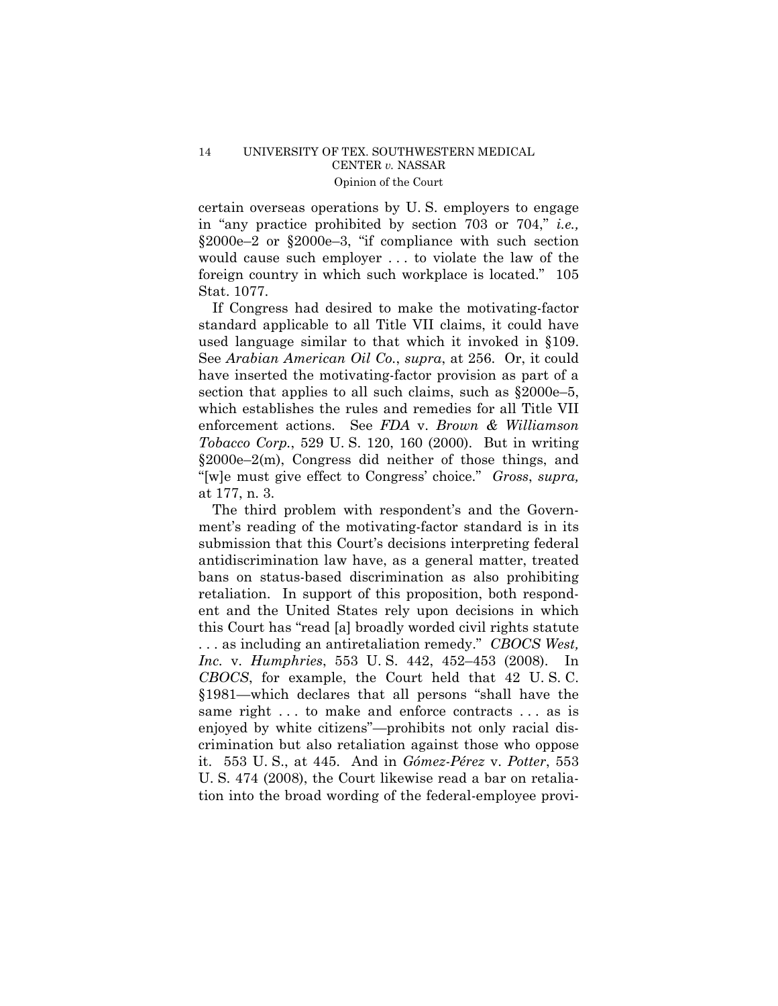certain overseas operations by U. S. employers to engage in "any practice prohibited by section 703 or 704," *i.e.,*  §2000e–2 or §2000e–3, "if compliance with such section would cause such employer . . . to violate the law of the foreign country in which such workplace is located." 105 Stat. 1077.

If Congress had desired to make the motivating-factor standard applicable to all Title VII claims, it could have used language similar to that which it invoked in §109. See *Arabian American Oil Co.*, *supra*, at 256. Or, it could have inserted the motivating-factor provision as part of a section that applies to all such claims, such as §2000e–5, which establishes the rules and remedies for all Title VII enforcement actions. See *FDA* v. *Brown & Williamson Tobacco Corp.*, 529 U. S. 120, 160 (2000). But in writing §2000e–2(m), Congress did neither of those things, and "[w]e must give effect to Congress' choice." *Gross*, *supra,*  at 177, n. 3.

The third problem with respondent's and the Government's reading of the motivating-factor standard is in its submission that this Court's decisions interpreting federal antidiscrimination law have, as a general matter, treated bans on status-based discrimination as also prohibiting retaliation. In support of this proposition, both respondent and the United States rely upon decisions in which this Court has "read [a] broadly worded civil rights statute . . . as including an antiretaliation remedy." *CBOCS West, Inc.* v. *Humphries*, 553 U. S. 442, 452–453 (2008). In *CBOCS*, for example, the Court held that 42 U. S. C. §1981—which declares that all persons "shall have the same right ... to make and enforce contracts ... as is enjoyed by white citizens"—prohibits not only racial discrimination but also retaliation against those who oppose it. 553 U. S., at 445. And in *Gómez-Pérez* v. *Potter*, 553 U. S. 474 (2008), the Court likewise read a bar on retaliation into the broad wording of the federal-employee provi-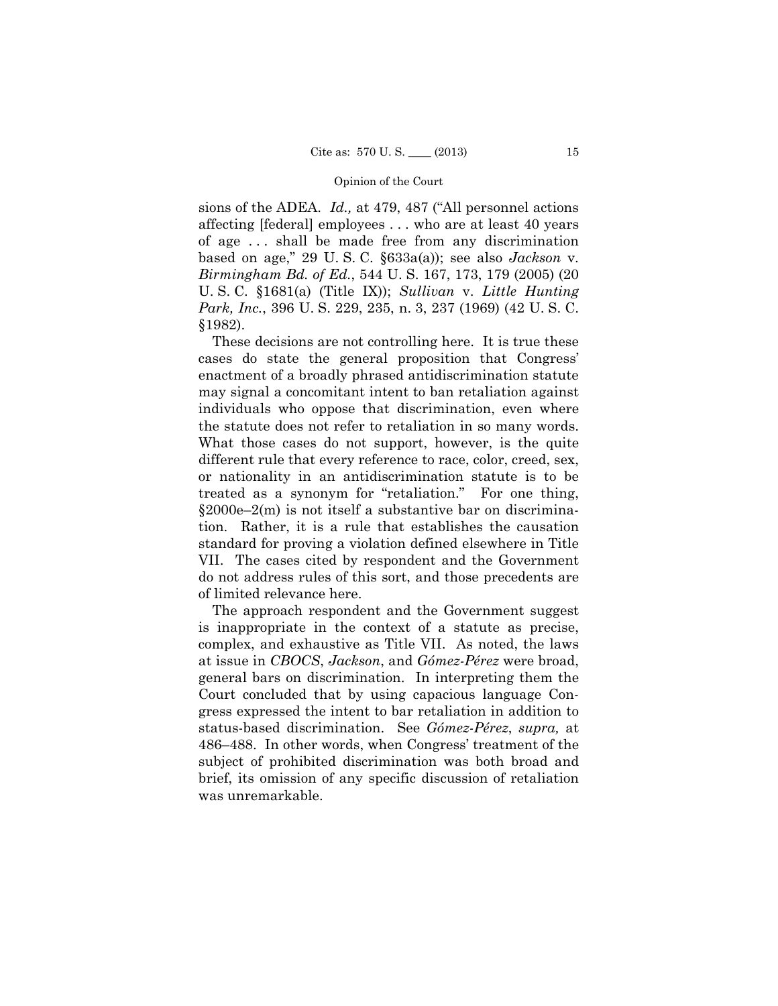sions of the ADEA. *Id.,* at 479, 487 ("All personnel actions affecting [federal] employees . . . who are at least 40 years of age . . . shall be made free from any discrimination based on age," 29 U. S. C. §633a(a)); see also *Jackson* v. *Birmingham Bd. of Ed.*, 544 U. S. 167, 173, 179 (2005) (20 U. S. C. §1681(a) (Title IX)); *Sullivan* v. *Little Hunting Park, Inc.*, 396 U. S. 229, 235, n. 3, 237 (1969) (42 U. S. C. §1982).

These decisions are not controlling here. It is true these cases do state the general proposition that Congress' enactment of a broadly phrased antidiscrimination statute may signal a concomitant intent to ban retaliation against individuals who oppose that discrimination, even where the statute does not refer to retaliation in so many words. What those cases do not support, however, is the quite different rule that every reference to race, color, creed, sex, or nationality in an antidiscrimination statute is to be treated as a synonym for "retaliation." For one thing,  $§2000e-2(m)$  is not itself a substantive bar on discrimination. Rather, it is a rule that establishes the causation standard for proving a violation defined elsewhere in Title VII. The cases cited by respondent and the Government do not address rules of this sort, and those precedents are of limited relevance here.

The approach respondent and the Government suggest is inappropriate in the context of a statute as precise, complex, and exhaustive as Title VII. As noted, the laws at issue in *CBOCS*, *Jackson*, and *Gómez-Pérez* were broad, general bars on discrimination. In interpreting them the Court concluded that by using capacious language Congress expressed the intent to bar retaliation in addition to status-based discrimination. See *Gómez-Pérez*, *supra,* at 486–488. In other words, when Congress' treatment of the subject of prohibited discrimination was both broad and brief, its omission of any specific discussion of retaliation was unremarkable.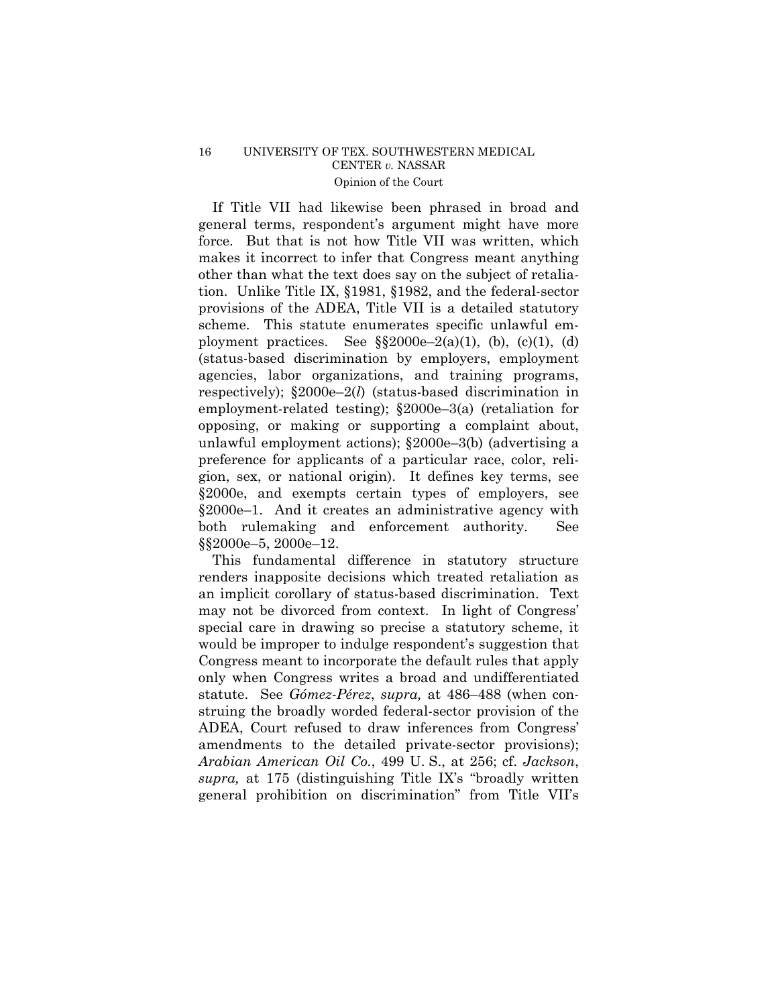### 16 UNIVERSITY OF TEX. SOUTHWESTERN MEDICAL CENTER *v.* NASSAR Opinion of the Court

If Title VII had likewise been phrased in broad and general terms, respondent's argument might have more force. But that is not how Title VII was written, which makes it incorrect to infer that Congress meant anything other than what the text does say on the subject of retaliation. Unlike Title IX, §1981, §1982, and the federal-sector provisions of the ADEA, Title VII is a detailed statutory scheme. This statute enumerates specific unlawful employment practices. See  $\S$  $2000e-2(a)(1)$ , (b), (c)(1), (d) (status-based discrimination by employers, employment agencies, labor organizations, and training programs, respectively); §2000e–2(*l*) (status-based discrimination in employment-related testing); §2000e–3(a) (retaliation for opposing, or making or supporting a complaint about, unlawful employment actions); §2000e–3(b) (advertising a preference for applicants of a particular race, color, religion, sex, or national origin). It defines key terms, see §2000e, and exempts certain types of employers, see §2000e–1. And it creates an administrative agency with both rulemaking and enforcement authority. See §§2000e–5, 2000e–12.

This fundamental difference in statutory structure renders inapposite decisions which treated retaliation as an implicit corollary of status-based discrimination. Text may not be divorced from context. In light of Congress' special care in drawing so precise a statutory scheme, it would be improper to indulge respondent's suggestion that Congress meant to incorporate the default rules that apply only when Congress writes a broad and undifferentiated statute. See *Gómez-Pérez*, *supra,* at 486–488 (when construing the broadly worded federal-sector provision of the ADEA, Court refused to draw inferences from Congress' amendments to the detailed private-sector provisions); *Arabian American Oil Co.*, 499 U. S., at 256; cf. *Jackson*, *supra,* at 175 (distinguishing Title IX's "broadly written general prohibition on discrimination" from Title VII's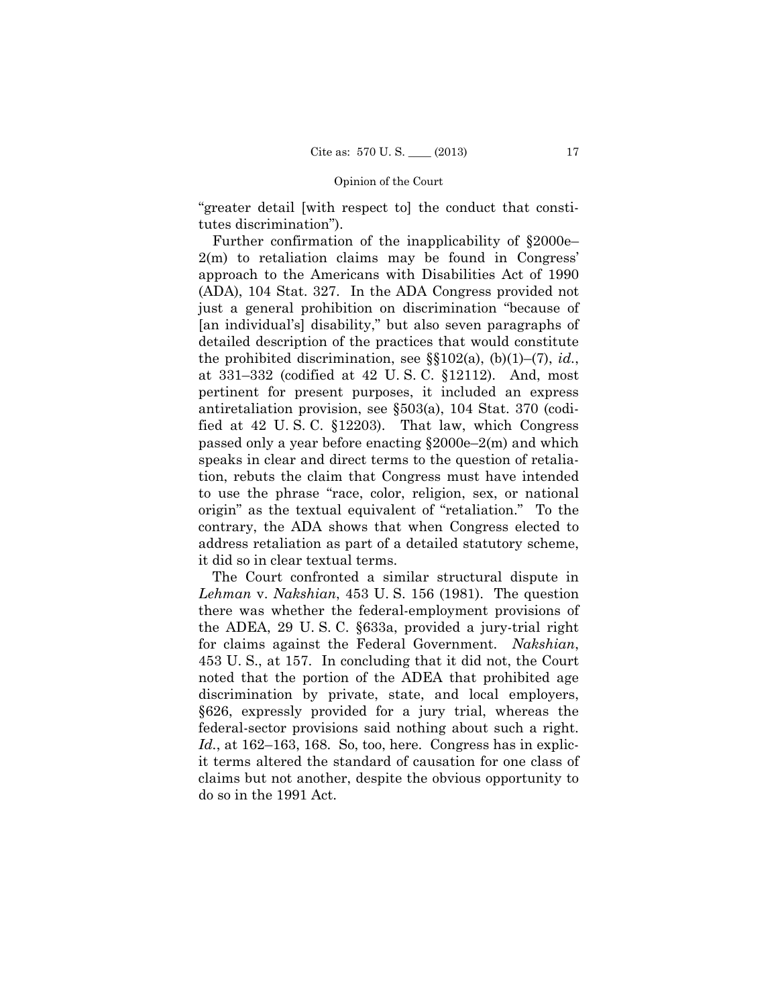"greater detail [with respect to] the conduct that constitutes discrimination").

Further confirmation of the inapplicability of §2000e– 2(m) to retaliation claims may be found in Congress' approach to the Americans with Disabilities Act of 1990 (ADA), 104 Stat. 327. In the ADA Congress provided not just a general prohibition on discrimination "because of [an individual's] disability," but also seven paragraphs of detailed description of the practices that would constitute the prohibited discrimination, see §§102(a), (b)(1)–(7), *id.*, at 331–332 (codified at 42 U. S. C. §12112). And, most pertinent for present purposes, it included an express antiretaliation provision, see §503(a), 104 Stat. 370 (codified at 42 U. S. C. §12203). That law, which Congress passed only a year before enacting §2000e–2(m) and which speaks in clear and direct terms to the question of retaliation, rebuts the claim that Congress must have intended to use the phrase "race, color, religion, sex, or national origin" as the textual equivalent of "retaliation." To the contrary, the ADA shows that when Congress elected to address retaliation as part of a detailed statutory scheme, it did so in clear textual terms.

 claims but not another, despite the obvious opportunity to The Court confronted a similar structural dispute in *Lehman* v. *Nakshian*, 453 U. S. 156 (1981). The question there was whether the federal-employment provisions of the ADEA, 29 U. S. C. §633a, provided a jury-trial right for claims against the Federal Government. *Nakshian*, 453 U. S., at 157. In concluding that it did not, the Court noted that the portion of the ADEA that prohibited age discrimination by private, state, and local employers, §626, expressly provided for a jury trial, whereas the federal-sector provisions said nothing about such a right. *Id.*, at 162–163, 168. So, too, here. Congress has in explicit terms altered the standard of causation for one class of do so in the 1991 Act.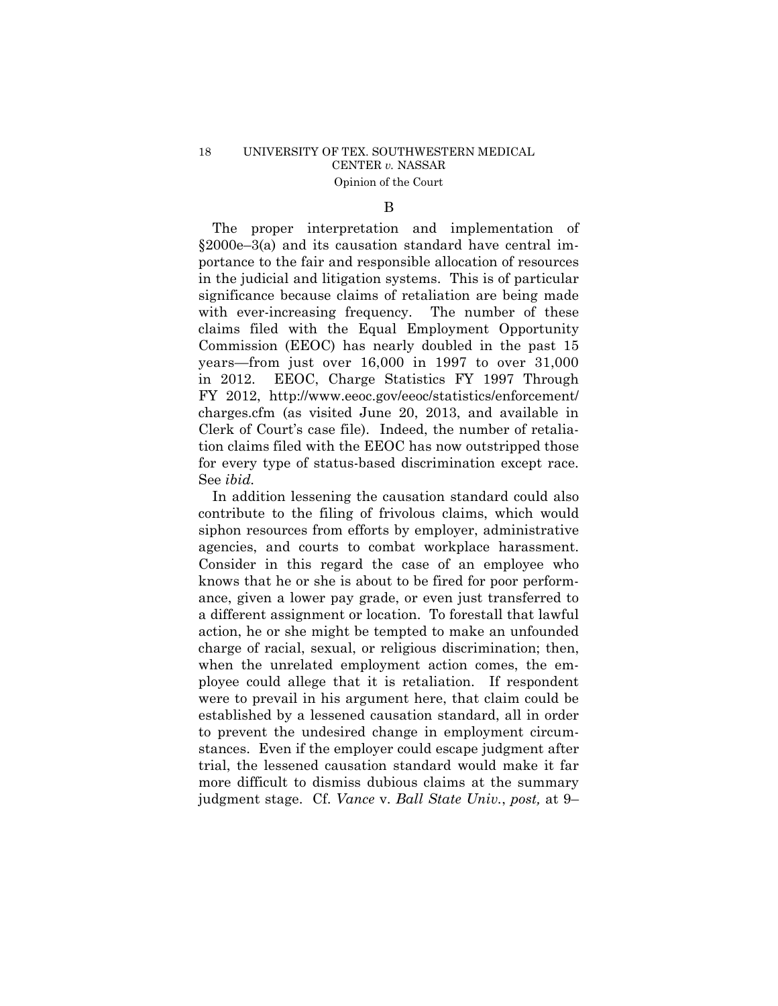## 18 UNIVERSITY OF TEX. SOUTHWESTERN MEDICAL CENTER *v.* NASSAR Opinion of the Court

B

The proper interpretation and implementation of §2000e–3(a) and its causation standard have central importance to the fair and responsible allocation of resources in the judicial and litigation systems. This is of particular significance because claims of retaliation are being made with ever-increasing frequency. The number of these claims filed with the Equal Employment Opportunity Commission (EEOC) has nearly doubled in the past 15 years—from just over 16,000 in 1997 to over 31,000 in 2012. EEOC, Charge Statistics FY 1997 Through FY 2012, http://www.eeoc.gov/eeoc/statistics/enforcement/ charges.cfm (as visited June 20, 2013, and available in Clerk of Court's case file). Indeed, the number of retaliation claims filed with the EEOC has now outstripped those for every type of status-based discrimination except race. See *ibid.* 

In addition lessening the causation standard could also contribute to the filing of frivolous claims, which would siphon resources from efforts by employer, administrative agencies, and courts to combat workplace harassment. Consider in this regard the case of an employee who knows that he or she is about to be fired for poor performance, given a lower pay grade, or even just transferred to a different assignment or location. To forestall that lawful action, he or she might be tempted to make an unfounded charge of racial, sexual, or religious discrimination; then, when the unrelated employment action comes, the employee could allege that it is retaliation. If respondent were to prevail in his argument here, that claim could be established by a lessened causation standard, all in order to prevent the undesired change in employment circumstances. Even if the employer could escape judgment after trial, the lessened causation standard would make it far more difficult to dismiss dubious claims at the summary judgment stage. Cf. *Vance* v. *Ball State Univ.*, *post,* at 9–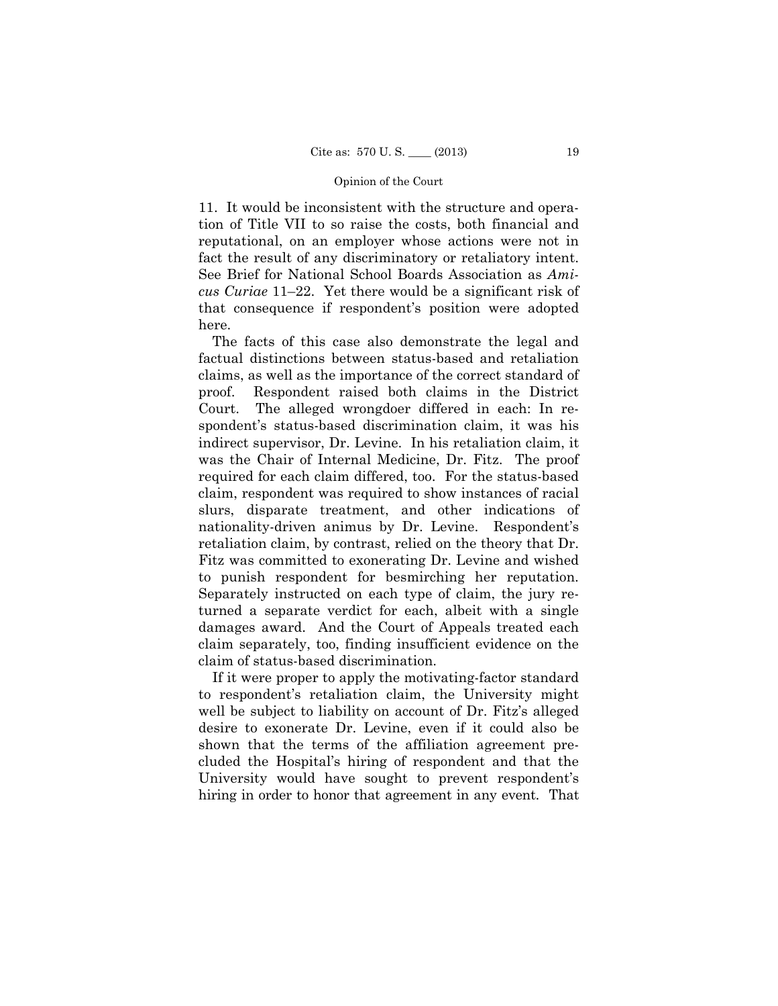11. It would be inconsistent with the structure and operation of Title VII to so raise the costs, both financial and reputational, on an employer whose actions were not in fact the result of any discriminatory or retaliatory intent. See Brief for National School Boards Association as *Amicus Curiae* 11–22. Yet there would be a significant risk of that consequence if respondent's position were adopted here.

The facts of this case also demonstrate the legal and factual distinctions between status-based and retaliation claims, as well as the importance of the correct standard of proof. Respondent raised both claims in the District Court. The alleged wrongdoer differed in each: In respondent's status-based discrimination claim, it was his indirect supervisor, Dr. Levine. In his retaliation claim, it was the Chair of Internal Medicine, Dr. Fitz. The proof required for each claim differed, too. For the status-based claim, respondent was required to show instances of racial slurs, disparate treatment, and other indications of nationality-driven animus by Dr. Levine. Respondent's retaliation claim, by contrast, relied on the theory that Dr. Fitz was committed to exonerating Dr. Levine and wished to punish respondent for besmirching her reputation. Separately instructed on each type of claim, the jury returned a separate verdict for each, albeit with a single damages award. And the Court of Appeals treated each claim separately, too, finding insufficient evidence on the claim of status-based discrimination.

If it were proper to apply the motivating-factor standard to respondent's retaliation claim, the University might well be subject to liability on account of Dr. Fitz's alleged desire to exonerate Dr. Levine, even if it could also be shown that the terms of the affiliation agreement precluded the Hospital's hiring of respondent and that the University would have sought to prevent respondent's hiring in order to honor that agreement in any event. That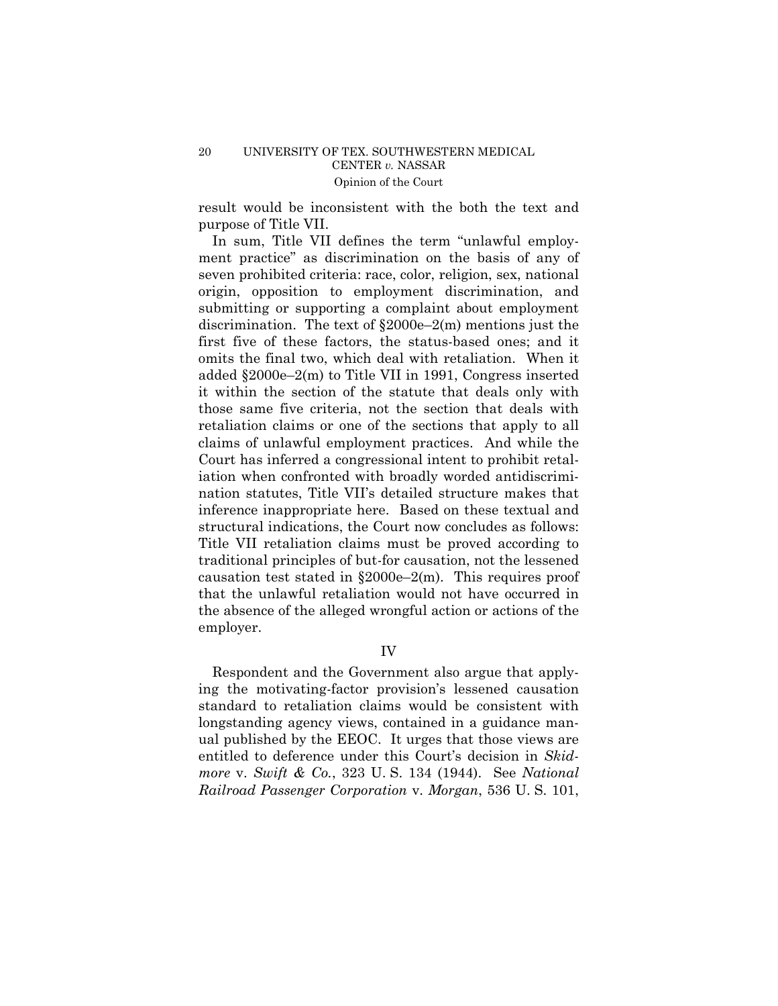result would be inconsistent with the both the text and purpose of Title VII.

In sum, Title VII defines the term "unlawful employment practice" as discrimination on the basis of any of seven prohibited criteria: race, color, religion, sex, national origin, opposition to employment discrimination, and submitting or supporting a complaint about employment discrimination. The text of  $\S2000e-2(m)$  mentions just the first five of these factors, the status-based ones; and it omits the final two, which deal with retaliation. When it added §2000e–2(m) to Title VII in 1991, Congress inserted it within the section of the statute that deals only with those same five criteria, not the section that deals with retaliation claims or one of the sections that apply to all claims of unlawful employment practices. And while the Court has inferred a congressional intent to prohibit retaliation when confronted with broadly worded antidiscrimination statutes, Title VII's detailed structure makes that inference inappropriate here. Based on these textual and structural indications, the Court now concludes as follows: Title VII retaliation claims must be proved according to traditional principles of but-for causation, not the lessened causation test stated in  $\S2000e-2(m)$ . This requires proof that the unlawful retaliation would not have occurred in the absence of the alleged wrongful action or actions of the employer.

IV

Respondent and the Government also argue that applying the motivating-factor provision's lessened causation standard to retaliation claims would be consistent with longstanding agency views, contained in a guidance manual published by the EEOC. It urges that those views are entitled to deference under this Court's decision in *Skidmore* v. *Swift & Co.*, 323 U. S. 134 (1944). See *National Railroad Passenger Corporation* v. *Morgan*, 536 U. S. 101,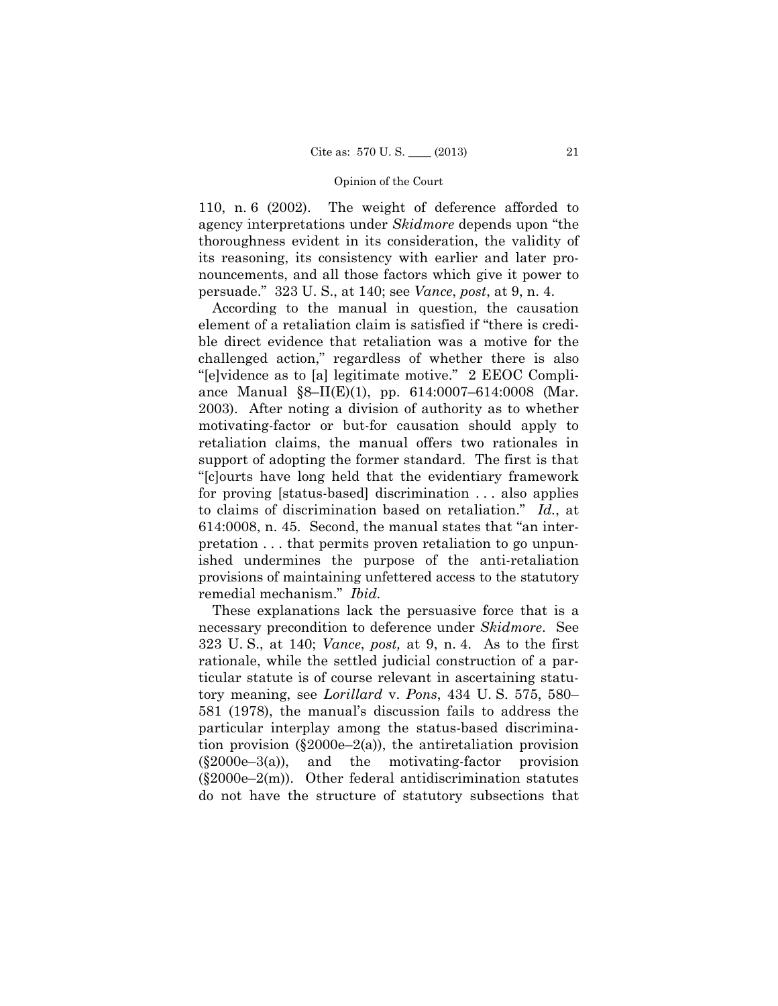110, n. 6 (2002). The weight of deference afforded to agency interpretations under *Skidmore* depends upon "the thoroughness evident in its consideration, the validity of its reasoning, its consistency with earlier and later pronouncements, and all those factors which give it power to persuade." 323 U. S., at 140; see *Vance*, *post*, at 9, n. 4.

According to the manual in question, the causation element of a retaliation claim is satisfied if "there is credible direct evidence that retaliation was a motive for the challenged action," regardless of whether there is also "[e]vidence as to [a] legitimate motive." 2 EEOC Compliance Manual §8–II(E)(1), pp. 614:0007–614:0008 (Mar. 2003). After noting a division of authority as to whether motivating-factor or but-for causation should apply to retaliation claims, the manual offers two rationales in support of adopting the former standard. The first is that "[c]ourts have long held that the evidentiary framework for proving [status-based] discrimination . . . also applies to claims of discrimination based on retaliation." *Id.*, at 614:0008, n. 45. Second, the manual states that "an interpretation . . . that permits proven retaliation to go unpunished undermines the purpose of the anti-retaliation provisions of maintaining unfettered access to the statutory remedial mechanism." *Ibid.* 

These explanations lack the persuasive force that is a necessary precondition to deference under *Skidmore*. See 323 U. S., at 140; *Vance*, *post,* at 9, n. 4. As to the first rationale, while the settled judicial construction of a particular statute is of course relevant in ascertaining statutory meaning, see *Lorillard* v. *Pons*, 434 U. S. 575, 580– 581 (1978), the manual's discussion fails to address the particular interplay among the status-based discrimination provision  $(\S 2000e-2(a))$ , the antiretaliation provision  $(\S 2000e-3(a))$ , and the motivating-factor provision  $(\S 2000e-2(m))$ . Other federal antidiscrimination statutes do not have the structure of statutory subsections that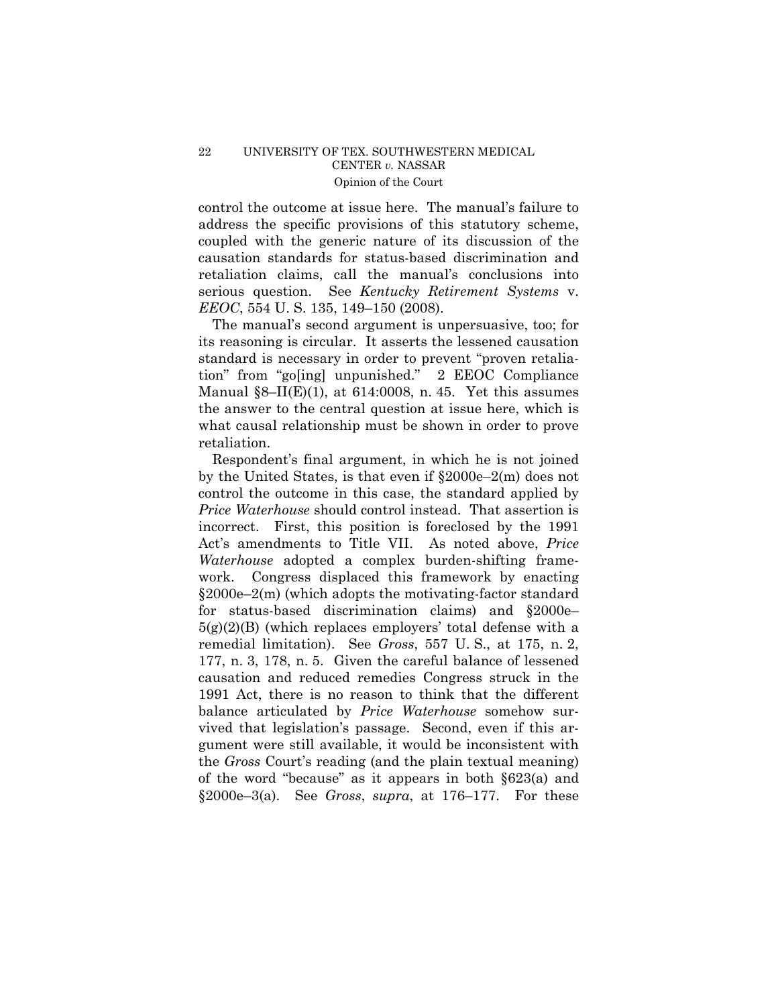control the outcome at issue here. The manual's failure to address the specific provisions of this statutory scheme, coupled with the generic nature of its discussion of the causation standards for status-based discrimination and retaliation claims, call the manual's conclusions into serious question. See *Kentucky Retirement Systems* v. *EEOC*, 554 U. S. 135, 149–150 (2008).

The manual's second argument is unpersuasive, too; for its reasoning is circular. It asserts the lessened causation standard is necessary in order to prevent "proven retaliation" from "go[ing] unpunished." 2 EEOC Compliance Manual  $\S8$ –II(E)(1), at 614:0008, n. 45. Yet this assumes the answer to the central question at issue here, which is what causal relationship must be shown in order to prove retaliation.

Respondent's final argument, in which he is not joined by the United States, is that even if §2000e–2(m) does not control the outcome in this case, the standard applied by *Price Waterhouse* should control instead. That assertion is incorrect. First, this position is foreclosed by the 1991 Act's amendments to Title VII. As noted above, *Price Waterhouse* adopted a complex burden-shifting framework. Congress displaced this framework by enacting §2000e–2(m) (which adopts the motivating-factor standard for status-based discrimination claims) and §2000e– 5(g)(2)(B) (which replaces employers' total defense with a remedial limitation). See *Gross*, 557 U. S., at 175, n. 2, 177, n. 3, 178, n. 5. Given the careful balance of lessened causation and reduced remedies Congress struck in the 1991 Act, there is no reason to think that the different balance articulated by *Price Waterhouse* somehow survived that legislation's passage. Second, even if this argument were still available, it would be inconsistent with the *Gross* Court's reading (and the plain textual meaning) of the word "because" as it appears in both §623(a) and §2000e–3(a). See *Gross*, *supra*, at 176–177. For these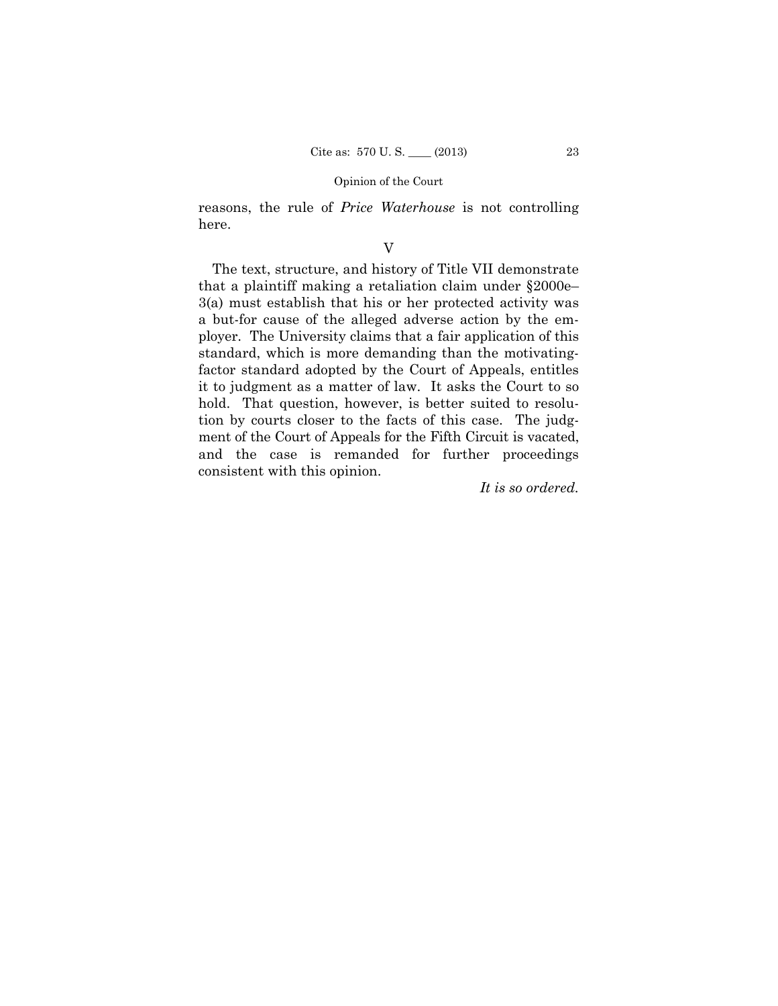reasons, the rule of *Price Waterhouse* is not controlling here.

### V

 ployer. The University claims that a fair application of this The text, structure, and history of Title VII demonstrate that a plaintiff making a retaliation claim under §2000e– 3(a) must establish that his or her protected activity was a but-for cause of the alleged adverse action by the emstandard, which is more demanding than the motivatingfactor standard adopted by the Court of Appeals, entitles it to judgment as a matter of law. It asks the Court to so hold. That question, however, is better suited to resolution by courts closer to the facts of this case. The judgment of the Court of Appeals for the Fifth Circuit is vacated, and the case is remanded for further proceedings consistent with this opinion.

*It is so ordered.*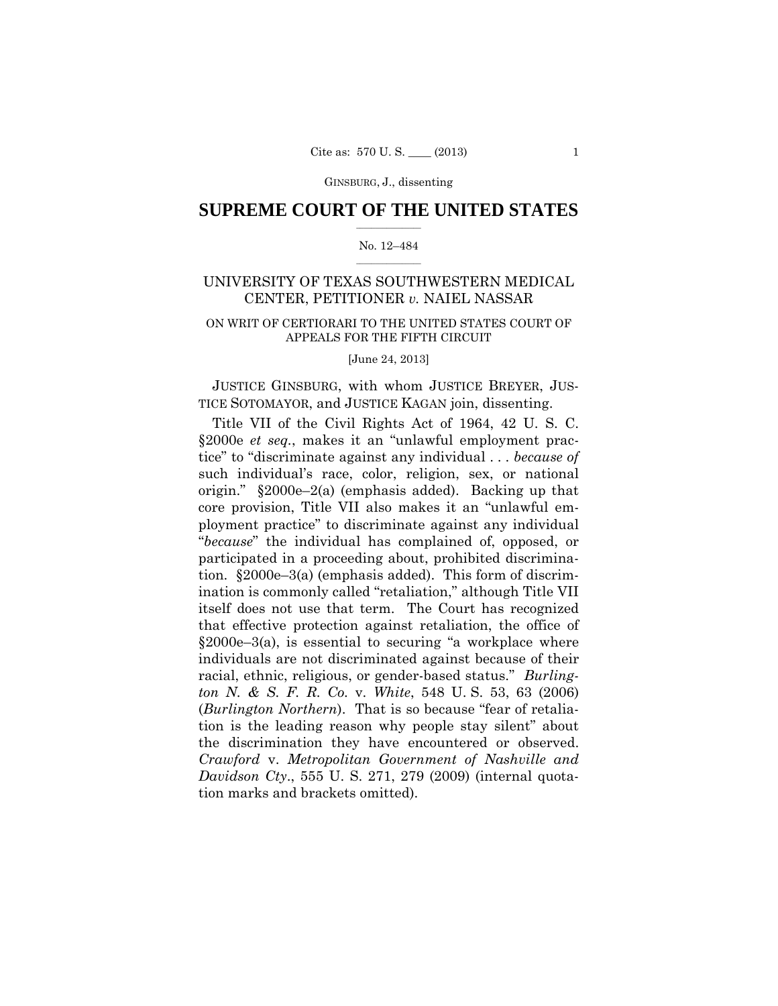### $\frac{1}{2}$  ,  $\frac{1}{2}$  ,  $\frac{1}{2}$  ,  $\frac{1}{2}$  ,  $\frac{1}{2}$  ,  $\frac{1}{2}$  ,  $\frac{1}{2}$ **SUPREME COURT OF THE UNITED STATES**

### $\frac{1}{2}$  ,  $\frac{1}{2}$  ,  $\frac{1}{2}$  ,  $\frac{1}{2}$  ,  $\frac{1}{2}$  ,  $\frac{1}{2}$ No. 12–484

## UNIVERSITY OF TEXAS SOUTHWESTERN MEDICAL CENTER, PETITIONER *v.* NAIEL NASSAR

### ON WRIT OF CERTIORARI TO THE UNITED STATES COURT OF APPEALS FOR THE FIFTH CIRCUIT

[June 24, 2013]

JUSTICE GINSBURG, with whom JUSTICE BREYER, JUS-TICE SOTOMAYOR, and JUSTICE KAGAN join, dissenting.

Title VII of the Civil Rights Act of 1964, 42 U. S. C. §2000e *et seq.*, makes it an "unlawful employment practice" to "discriminate against any individual . . . *because of*  such individual's race, color, religion, sex, or national origin." §2000e–2(a) (emphasis added). Backing up that core provision, Title VII also makes it an "unlawful employment practice" to discriminate against any individual "*because*" the individual has complained of, opposed, or participated in a proceeding about, prohibited discrimination. §2000e–3(a) (emphasis added). This form of discrimination is commonly called "retaliation," although Title VII itself does not use that term. The Court has recognized that effective protection against retaliation, the office of  $§2000e-3(a)$ , is essential to securing "a workplace where individuals are not discriminated against because of their racial, ethnic, religious, or gender-based status." *Burlington N. & S. F. R. Co.* v. *White*, 548 U. S. 53, 63 (2006) (*Burlington Northern*). That is so because "fear of retaliation is the leading reason why people stay silent" about the discrimination they have encountered or observed. *Crawford* v. *Metropolitan Government of Nashville and Davidson Cty*., 555 U. S. 271, 279 (2009) (internal quotation marks and brackets omitted).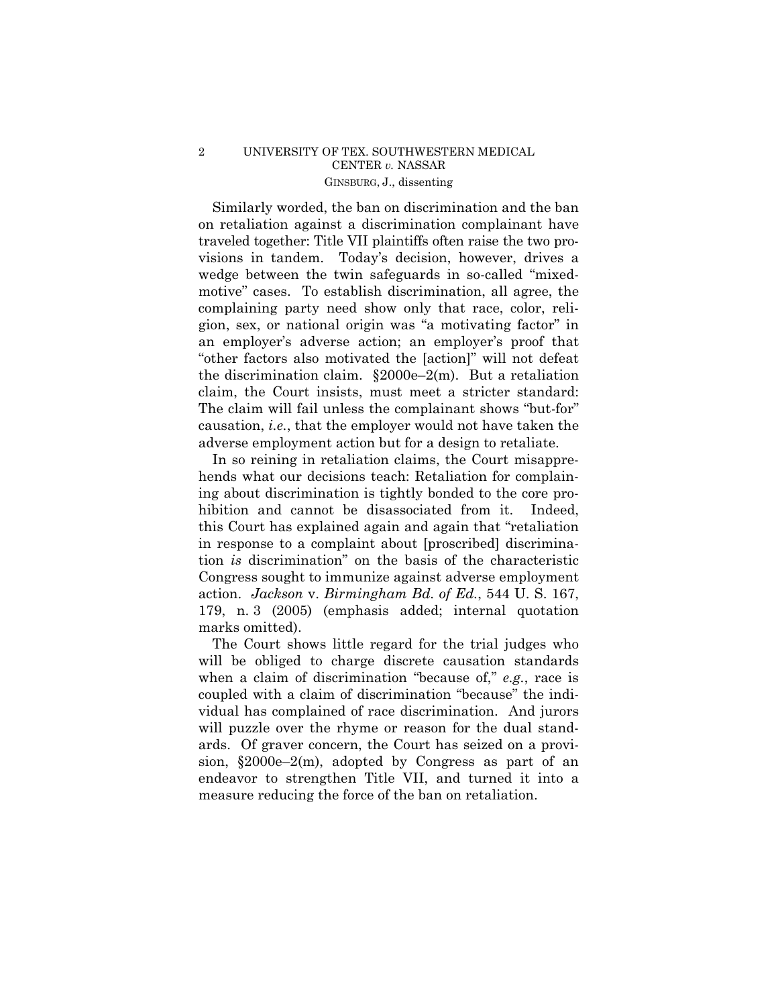### 2 UNIVERSITY OF TEX. SOUTHWESTERN MEDICAL CENTER *v.* NASSAR GINSBURG, J., dissenting

Similarly worded, the ban on discrimination and the ban on retaliation against a discrimination complainant have traveled together: Title VII plaintiffs often raise the two provisions in tandem. Today's decision, however, drives a wedge between the twin safeguards in so-called "mixedmotive" cases. To establish discrimination, all agree, the complaining party need show only that race, color, religion, sex, or national origin was "a motivating factor" in an employer's adverse action; an employer's proof that "other factors also motivated the [action]" will not defeat the discrimination claim. §2000e–2(m). But a retaliation claim, the Court insists, must meet a stricter standard: The claim will fail unless the complainant shows "but-for" causation, *i.e.*, that the employer would not have taken the adverse employment action but for a design to retaliate.

In so reining in retaliation claims, the Court misapprehends what our decisions teach: Retaliation for complaining about discrimination is tightly bonded to the core prohibition and cannot be disassociated from it. Indeed, this Court has explained again and again that "retaliation in response to a complaint about [proscribed] discrimination *is* discrimination" on the basis of the characteristic Congress sought to immunize against adverse employment action. *Jackson* v. *Birmingham Bd. of Ed.*, 544 U. S. 167, 179, n. 3 (2005) (emphasis added; internal quotation marks omitted).

The Court shows little regard for the trial judges who will be obliged to charge discrete causation standards when a claim of discrimination "because of," *e.g.*, race is coupled with a claim of discrimination "because" the individual has complained of race discrimination. And jurors will puzzle over the rhyme or reason for the dual standards. Of graver concern, the Court has seized on a provision,  $$2000e-2(m)$ , adopted by Congress as part of an endeavor to strengthen Title VII, and turned it into a measure reducing the force of the ban on retaliation.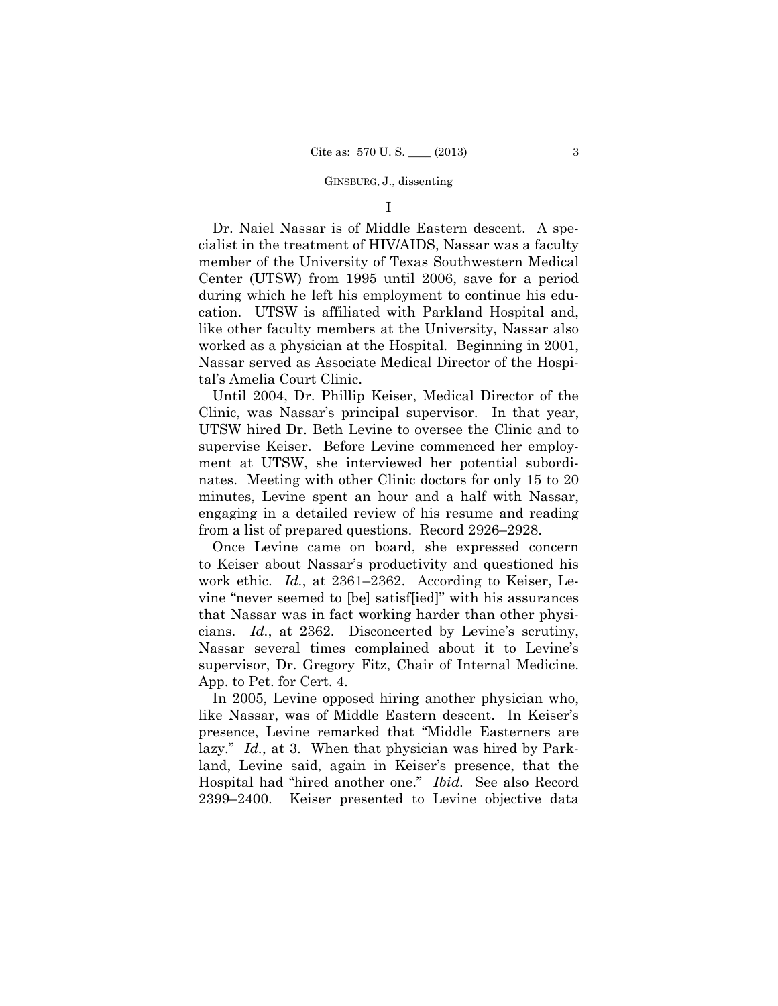I

Dr. Naiel Nassar is of Middle Eastern descent. A specialist in the treatment of HIV/AIDS, Nassar was a faculty member of the University of Texas Southwestern Medical Center (UTSW) from 1995 until 2006, save for a period during which he left his employment to continue his education. UTSW is affiliated with Parkland Hospital and, like other faculty members at the University, Nassar also worked as a physician at the Hospital*.* Beginning in 2001, Nassar served as Associate Medical Director of the Hospital's Amelia Court Clinic.

Until 2004, Dr. Phillip Keiser, Medical Director of the Clinic, was Nassar's principal supervisor. In that year, UTSW hired Dr. Beth Levine to oversee the Clinic and to supervise Keiser. Before Levine commenced her employment at UTSW, she interviewed her potential subordinates. Meeting with other Clinic doctors for only 15 to 20 minutes, Levine spent an hour and a half with Nassar, engaging in a detailed review of his resume and reading from a list of prepared questions. Record 2926–2928.

Once Levine came on board, she expressed concern to Keiser about Nassar's productivity and questioned his work ethic. *Id.*, at 2361–2362. According to Keiser, Levine "never seemed to [be] satisf[ied]" with his assurances that Nassar was in fact working harder than other physicians. *Id.*, at 2362. Disconcerted by Levine's scrutiny, Nassar several times complained about it to Levine's supervisor, Dr. Gregory Fitz, Chair of Internal Medicine. App. to Pet. for Cert. 4.

In 2005, Levine opposed hiring another physician who, like Nassar, was of Middle Eastern descent. In Keiser's presence, Levine remarked that "Middle Easterners are lazy." *Id.*, at 3. When that physician was hired by Parkland, Levine said, again in Keiser's presence, that the Hospital had "hired another one." *Ibid.* See also Record 2399–2400. Keiser presented to Levine objective data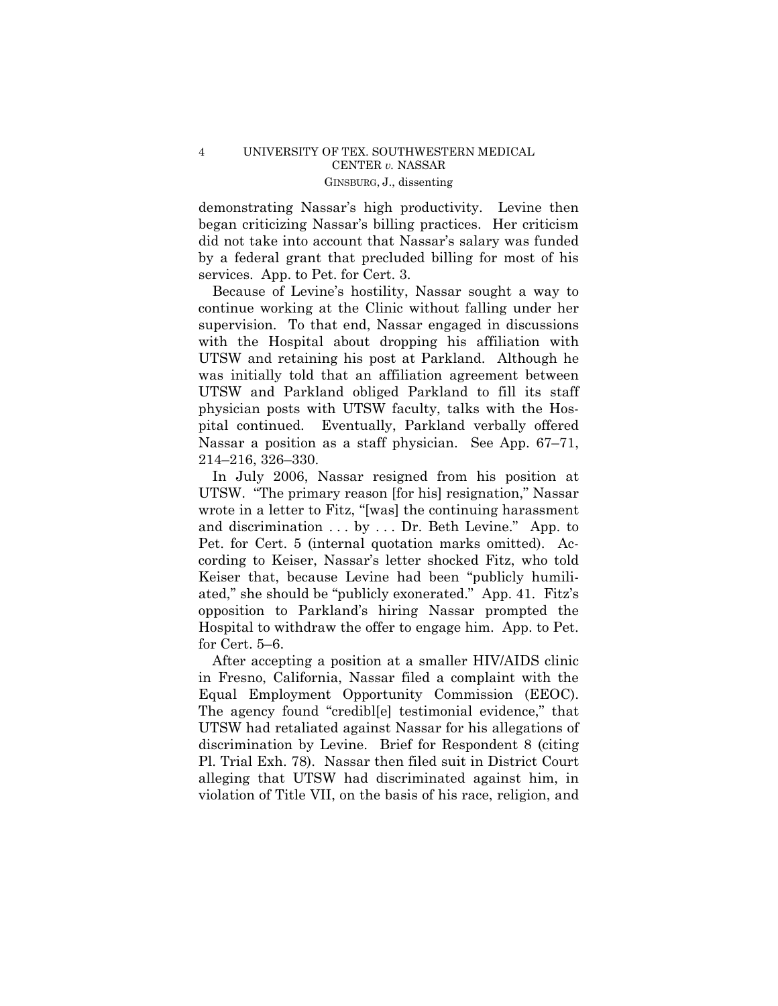demonstrating Nassar's high productivity. Levine then began criticizing Nassar's billing practices. Her criticism did not take into account that Nassar's salary was funded by a federal grant that precluded billing for most of his services. App. to Pet. for Cert. 3.

Because of Levine's hostility, Nassar sought a way to continue working at the Clinic without falling under her supervision. To that end, Nassar engaged in discussions with the Hospital about dropping his affiliation with UTSW and retaining his post at Parkland. Although he was initially told that an affiliation agreement between UTSW and Parkland obliged Parkland to fill its staff physician posts with UTSW faculty, talks with the Hospital continued. Eventually, Parkland verbally offered Nassar a position as a staff physician. See App. 67–71, 214–216, 326–330.

In July 2006, Nassar resigned from his position at UTSW. "The primary reason [for his] resignation," Nassar wrote in a letter to Fitz, "[was] the continuing harassment and discrimination . . . by . . . Dr. Beth Levine." App. to Pet. for Cert. 5 (internal quotation marks omitted). According to Keiser, Nassar's letter shocked Fitz, who told Keiser that, because Levine had been "publicly humiliated," she should be "publicly exonerated." App. 41. Fitz's opposition to Parkland's hiring Nassar prompted the Hospital to withdraw the offer to engage him. App. to Pet. for Cert. 5–6.

After accepting a position at a smaller HIV/AIDS clinic in Fresno, California, Nassar filed a complaint with the Equal Employment Opportunity Commission (EEOC). The agency found "credibl[e] testimonial evidence," that UTSW had retaliated against Nassar for his allegations of discrimination by Levine. Brief for Respondent 8 (citing Pl. Trial Exh. 78). Nassar then filed suit in District Court alleging that UTSW had discriminated against him, in violation of Title VII, on the basis of his race, religion, and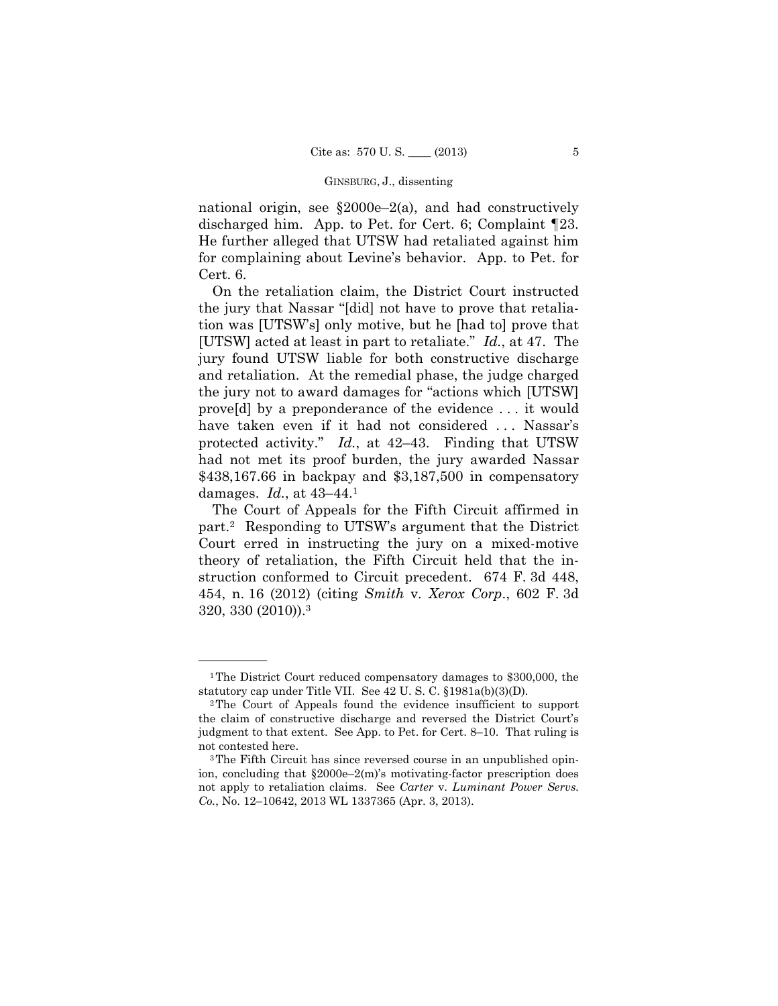national origin, see  $$2000e-2(a)$ , and had constructively discharged him. App. to Pet. for Cert. 6; Complaint ¶23. He further alleged that UTSW had retaliated against him for complaining about Levine's behavior. App. to Pet. for Cert. 6.

 protected activity." *Id.*, at 42–43. Finding that UTSW On the retaliation claim, the District Court instructed the jury that Nassar "[did] not have to prove that retaliation was [UTSW's] only motive, but he [had to] prove that [UTSW] acted at least in part to retaliate." *Id.*, at 47. The jury found UTSW liable for both constructive discharge and retaliation. At the remedial phase, the judge charged the jury not to award damages for "actions which [UTSW] prove[d] by a preponderance of the evidence . . . it would have taken even if it had not considered ... Nassar's had not met its proof burden, the jury awarded Nassar \$438,167.66 in backpay and \$3,187,500 in compensatory damages. *Id.*, at 43–44.1

The Court of Appeals for the Fifth Circuit affirmed in part.2 Responding to UTSW's argument that the District Court erred in instructing the jury on a mixed-motive theory of retaliation, the Fifth Circuit held that the instruction conformed to Circuit precedent. 674 F. 3d 448, 454, n. 16 (2012) (citing *Smith* v. *Xerox Corp*., 602 F. 3d 320, 330 (2010)).3

——————

<sup>1</sup>The District Court reduced compensatory damages to \$300,000, the

statutory cap under Title VII. See 42 U.S. C. §1981a(b)(3)(D).<br><sup>2</sup>The Court of Appeals found the evidence insufficient to support the claim of constructive discharge and reversed the District Court's judgment to that extent. See App. to Pet. for Cert. 8–10. That ruling is

not contested here.<br><sup>3</sup>The Fifth Circuit has since reversed course in an unpublished opinion, concluding that §2000e–2(m)'s motivating-factor prescription does not apply to retaliation claims. See *Carter* v. *Luminant Power Servs. Co.*, No. 12–10642, 2013 WL 1337365 (Apr. 3, 2013).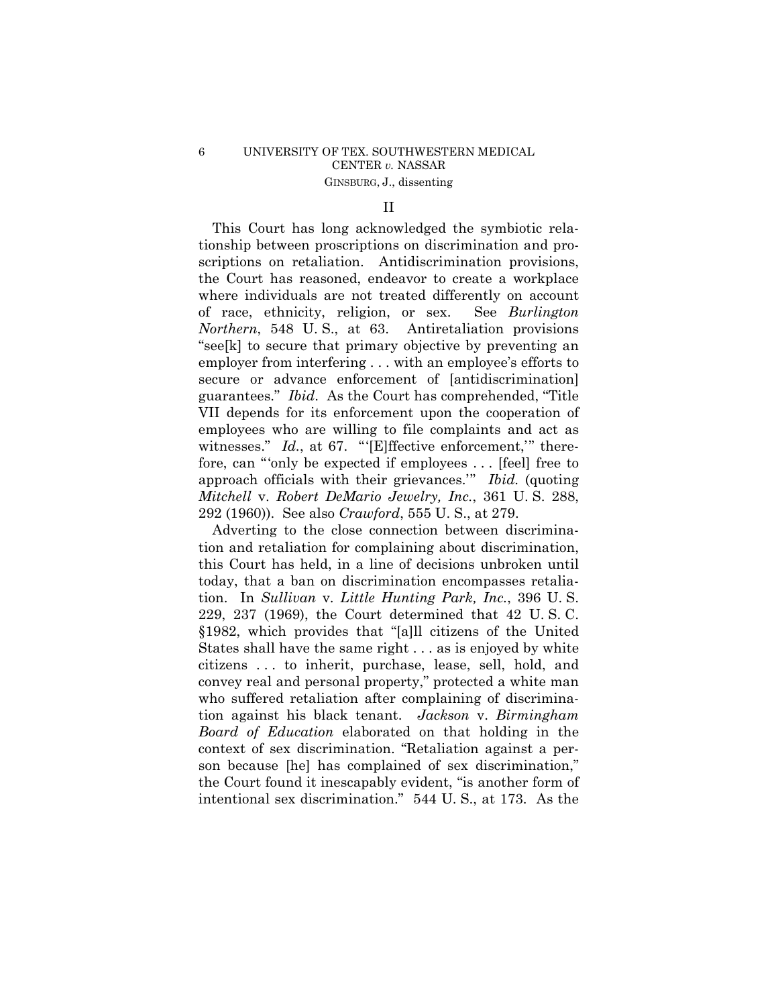## 6 UNIVERSITY OF TEX. SOUTHWESTERN MEDICAL CENTER *v.* NASSAR GINSBURG, J., dissenting

### II

This Court has long acknowledged the symbiotic relationship between proscriptions on discrimination and proscriptions on retaliation. Antidiscrimination provisions, the Court has reasoned, endeavor to create a workplace where individuals are not treated differently on account of race, ethnicity, religion, or sex. See *Burlington Northern*, 548 U. S., at 63. Antiretaliation provisions "see[k] to secure that primary objective by preventing an employer from interfering . . . with an employee's efforts to secure or advance enforcement of [antidiscrimination] guarantees." *Ibid*. As the Court has comprehended, "Title VII depends for its enforcement upon the cooperation of employees who are willing to file complaints and act as witnesses." *Id.*, at 67. "'[E]ffective enforcement," therefore, can "'only be expected if employees . . . [feel] free to approach officials with their grievances.'" *Ibid.* (quoting *Mitchell* v. *Robert DeMario Jewelry, Inc.*, 361 U. S. 288, 292 (1960)). See also *Crawford*, 555 U. S., at 279.

Adverting to the close connection between discrimination and retaliation for complaining about discrimination, this Court has held, in a line of decisions unbroken until today, that a ban on discrimination encompasses retaliation. In *Sullivan* v. *Little Hunting Park, Inc.*, 396 U. S. 229, 237 (1969), the Court determined that 42 U. S. C. §1982, which provides that "[a]ll citizens of the United States shall have the same right . . . as is enjoyed by white citizens . . . to inherit, purchase, lease, sell, hold, and convey real and personal property," protected a white man who suffered retaliation after complaining of discrimination against his black tenant. *Jackson* v. *Birmingham Board of Education* elaborated on that holding in the context of sex discrimination. "Retaliation against a person because [he] has complained of sex discrimination," the Court found it inescapably evident, "is another form of intentional sex discrimination." 544 U. S., at 173. As the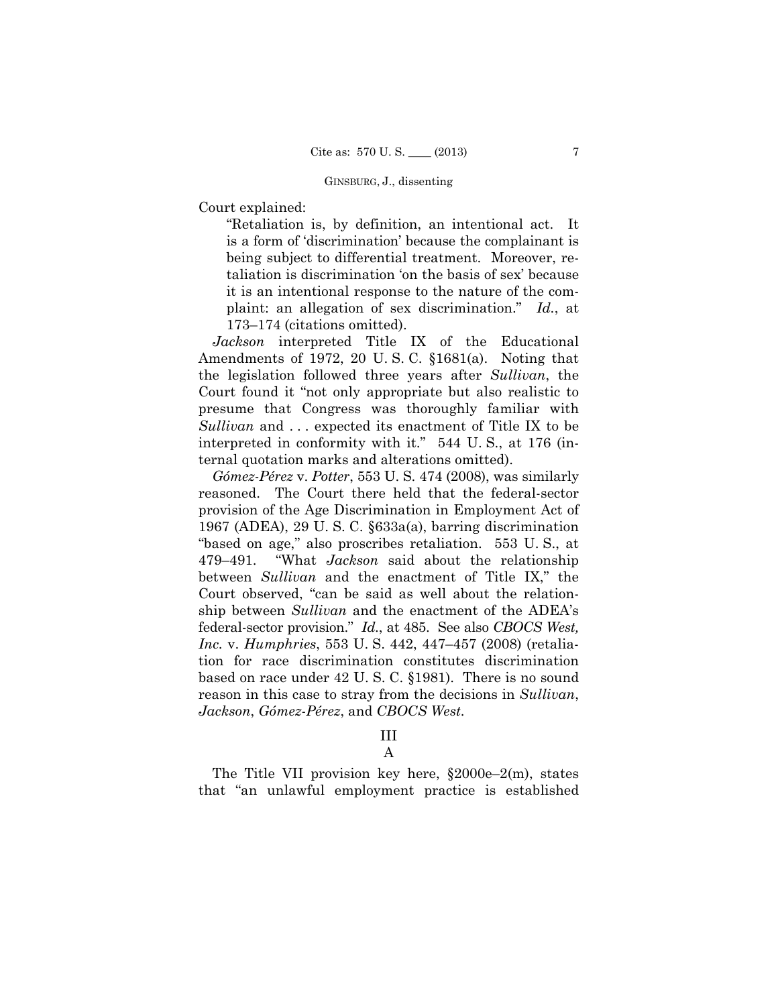Court explained:

"Retaliation is, by definition, an intentional act. It is a form of 'discrimination' because the complainant is being subject to differential treatment. Moreover, retaliation is discrimination 'on the basis of sex' because it is an intentional response to the nature of the complaint: an allegation of sex discrimination." *Id.*, at 173–174 (citations omitted).

*Jackson* interpreted Title IX of the Educational Amendments of 1972, 20 U. S. C. §1681(a). Noting that the legislation followed three years after *Sullivan*, the Court found it "not only appropriate but also realistic to presume that Congress was thoroughly familiar with *Sullivan* and . . . expected its enactment of Title IX to be interpreted in conformity with it." 544 U. S., at 176 (internal quotation marks and alterations omitted).

 federal-sector provision." *Id.*, at 485. See also *CBOCS West,*  based on race under 42 U.S.C. §1981). There is no sound *Gómez-Pérez* v. *Potter*, 553 U. S. 474 (2008), was similarly reasoned. The Court there held that the federal-sector provision of the Age Discrimination in Employment Act of 1967 (ADEA), 29 U. S. C. §633a(a), barring discrimination "based on age," also proscribes retaliation. 553 U. S., at 479–491. "What *Jackson* said about the relationship between *Sullivan* and the enactment of Title IX," the Court observed, "can be said as well about the relationship between *Sullivan* and the enactment of the ADEA's *Inc.* v. *Humphries*, 553 U. S. 442, 447–457 (2008) (retaliation for race discrimination constitutes discrimination reason in this case to stray from the decisions in *Sullivan*, *Jackson*, *Gómez-Pérez*, and *CBOCS West.* 

# III

## A

The Title VII provision key here, §2000e–2(m), states that "an unlawful employment practice is established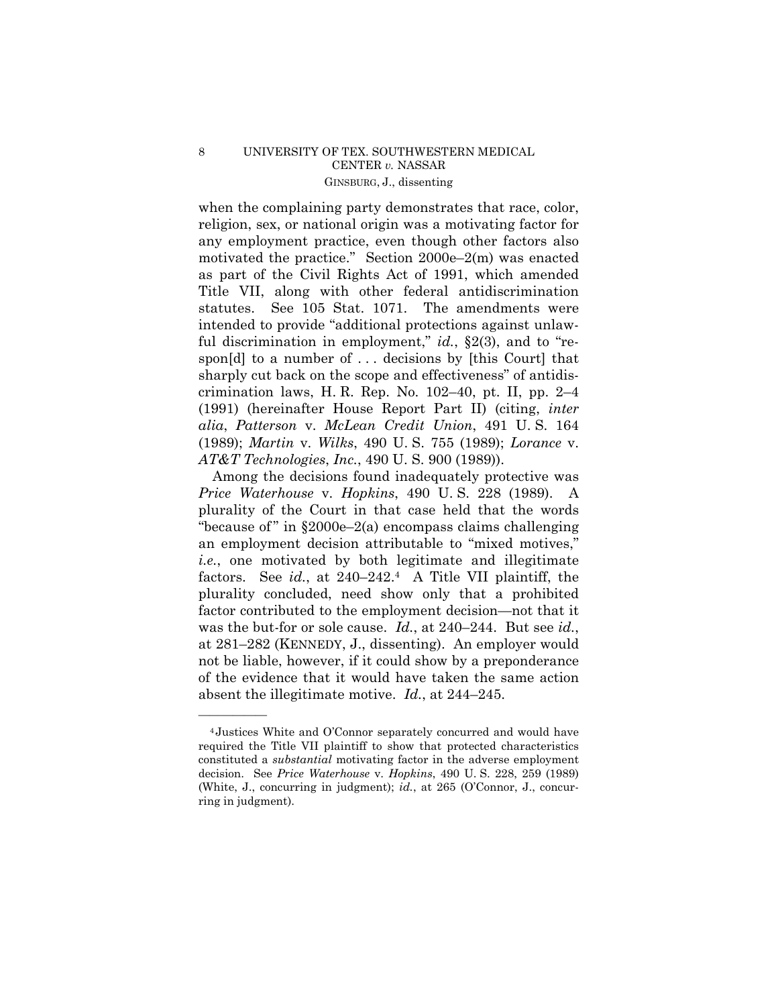when the complaining party demonstrates that race, color, religion, sex, or national origin was a motivating factor for any employment practice, even though other factors also motivated the practice." Section 2000e–2(m) was enacted as part of the Civil Rights Act of 1991, which amended Title VII, along with other federal antidiscrimination statutes. See 105 Stat. 1071. The amendments were intended to provide "additional protections against unlawful discrimination in employment," *id.*, §2(3), and to "respon[d] to a number of . . . decisions by [this Court] that sharply cut back on the scope and effectiveness" of antidiscrimination laws, H. R. Rep. No. 102–40, pt. II, pp. 2–4 (1991) (hereinafter House Report Part II) (citing, *inter alia*, *Patterson* v. *McLean Credit Union*, 491 U. S. 164 (1989); *Martin* v. *Wilks*, 490 U. S. 755 (1989); *Lorance* v. *AT&T Technologies*, *Inc.*, 490 U. S. 900 (1989)).

Among the decisions found inadequately protective was *Price Waterhouse* v. *Hopkins*, 490 U. S. 228 (1989). A plurality of the Court in that case held that the words "because of" in  $\S2000e-2(a)$  encompass claims challenging an employment decision attributable to "mixed motives," *i.e.*, one motivated by both legitimate and illegitimate factors. See *id.*, at 240–242.4 A Title VII plaintiff, the plurality concluded, need show only that a prohibited factor contributed to the employment decision—not that it was the but-for or sole cause. *Id.*, at 240–244. But see *id.*, at 281–282 (KENNEDY, J., dissenting). An employer would not be liable, however, if it could show by a preponderance of the evidence that it would have taken the same action absent the illegitimate motive. *Id.*, at 244–245.

——————

<sup>4</sup> Justices White and O'Connor separately concurred and would have required the Title VII plaintiff to show that protected characteristics constituted a *substantial* motivating factor in the adverse employment decision. See *Price Waterhouse* v. *Hopkins*, 490 U. S. 228, 259 (1989) (White, J., concurring in judgment); *id.*, at 265 (O'Connor, J., concurring in judgment).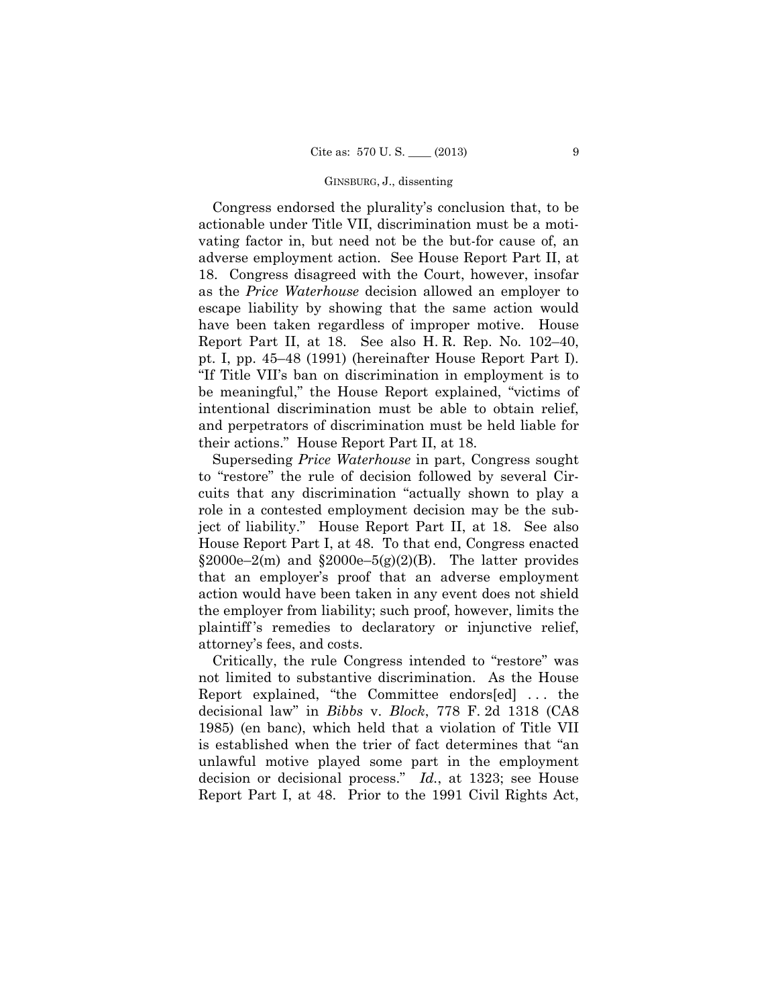Congress endorsed the plurality's conclusion that, to be actionable under Title VII, discrimination must be a motivating factor in, but need not be the but-for cause of, an adverse employment action. See House Report Part II, at 18. Congress disagreed with the Court, however, insofar as the *Price Waterhouse* decision allowed an employer to escape liability by showing that the same action would have been taken regardless of improper motive. House Report Part II, at 18. See also H. R. Rep. No. 102–40, pt. I, pp. 45–48 (1991) (hereinafter House Report Part I). "If Title VII's ban on discrimination in employment is to be meaningful," the House Report explained, "victims of intentional discrimination must be able to obtain relief, and perpetrators of discrimination must be held liable for their actions." House Report Part II, at 18.

Superseding *Price Waterhouse* in part, Congress sought to "restore" the rule of decision followed by several Circuits that any discrimination "actually shown to play a role in a contested employment decision may be the subject of liability." House Report Part II, at 18. See also House Report Part I, at 48. To that end, Congress enacted  $§2000e-2(m)$  and  $§2000e-5(g)(2)(B)$ . The latter provides that an employer's proof that an adverse employment action would have been taken in any event does not shield the employer from liability; such proof, however, limits the plaintiff 's remedies to declaratory or injunctive relief, attorney's fees, and costs.

Critically, the rule Congress intended to "restore" was not limited to substantive discrimination. As the House Report explained, "the Committee endors[ed] . . . the decisional law" in *Bibbs* v. *Block*, 778 F. 2d 1318 (CA8 1985) (en banc), which held that a violation of Title VII is established when the trier of fact determines that "an unlawful motive played some part in the employment decision or decisional process." *Id.*, at 1323; see House Report Part I, at 48. Prior to the 1991 Civil Rights Act,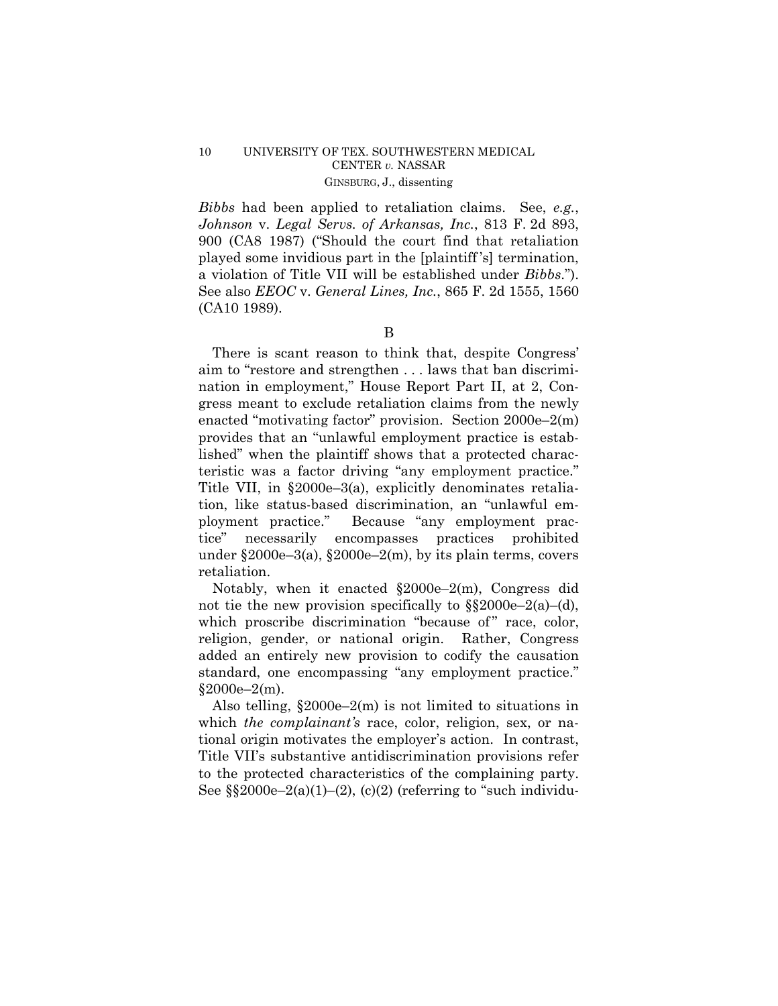### 10 UNIVERSITY OF TEX. SOUTHWESTERN MEDICAL CENTER *v.* NASSAR GINSBURG, J., dissenting

*Bibbs* had been applied to retaliation claims. See, *e.g.*, *Johnson* v. *Legal Servs. of Arkansas, Inc.*, 813 F. 2d 893, 900 (CA8 1987) ("Should the court find that retaliation played some invidious part in the [plaintiff 's] termination, a violation of Title VII will be established under *Bibbs*."). See also *EEOC* v. *General Lines, Inc.*, 865 F. 2d 1555, 1560 (CA10 1989).

B

There is scant reason to think that, despite Congress' aim to "restore and strengthen . . . laws that ban discrimination in employment," House Report Part II, at 2, Congress meant to exclude retaliation claims from the newly enacted "motivating factor" provision. Section 2000e–2(m) provides that an "unlawful employment practice is established" when the plaintiff shows that a protected characteristic was a factor driving "any employment practice." Title VII, in §2000e–3(a), explicitly denominates retaliation, like status-based discrimination, an "unlawful employment practice." Because "any employment practice" necessarily encompasses practices prohibited under  $\S 2000e-3(a)$ ,  $\S 2000e-2(m)$ , by its plain terms, covers retaliation.

Notably, when it enacted §2000e–2(m), Congress did not tie the new provision specifically to  $\S$ 2000e–2(a)–(d), which proscribe discrimination "because of" race, color, religion, gender, or national origin. Rather, Congress added an entirely new provision to codify the causation standard, one encompassing "any employment practice."  $§2000e-2(m).$ 

Also telling, §2000e–2(m) is not limited to situations in which *the complainant's* race, color, religion, sex, or national origin motivates the employer's action. In contrast, Title VII's substantive antidiscrimination provisions refer to the protected characteristics of the complaining party. See  $\S$  $2000e-2(a)(1)-(2)$ , (c)(2) (referring to "such individu-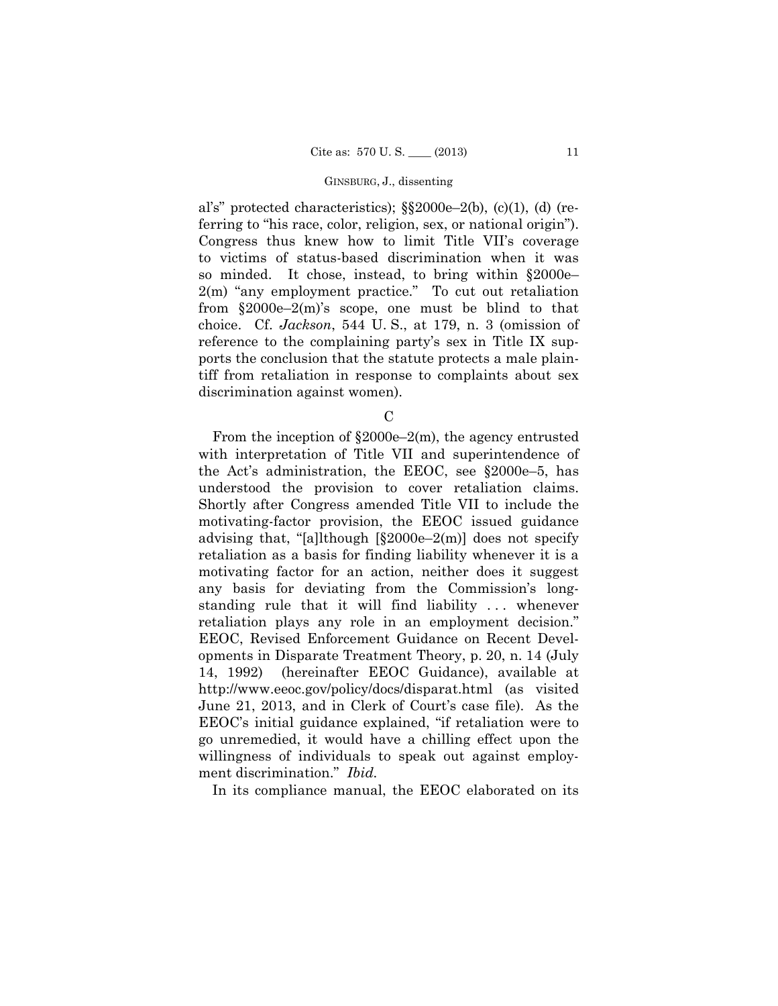al's" protected characteristics);  $\S$  $2000e-2(b)$ , (c)(1), (d) (referring to "his race, color, religion, sex, or national origin"). Congress thus knew how to limit Title VII's coverage to victims of status-based discrimination when it was so minded. It chose, instead, to bring within §2000e– 2(m) "any employment practice." To cut out retaliation from  $$2000e-2(m)$ 's scope, one must be blind to that choice. Cf. *Jackson*, 544 U. S., at 179, n. 3 (omission of reference to the complaining party's sex in Title IX supports the conclusion that the statute protects a male plaintiff from retaliation in response to complaints about sex discrimination against women).

 $\mathcal{C}$ 

 motivating factor for an action, neither does it suggest From the inception of  $\S2000e-2(m)$ , the agency entrusted with interpretation of Title VII and superintendence of the Act's administration, the EEOC, see §2000e–5, has understood the provision to cover retaliation claims. Shortly after Congress amended Title VII to include the motivating-factor provision, the EEOC issued guidance advising that, "[a]lthough  $[\S 2000e-2(m)]$  does not specify retaliation as a basis for finding liability whenever it is a any basis for deviating from the Commission's longstanding rule that it will find liability . . . whenever retaliation plays any role in an employment decision." EEOC, Revised Enforcement Guidance on Recent Developments in Disparate Treatment Theory, p. 20, n. 14 (July 14, 1992) (hereinafter EEOC Guidance), available at http://www.eeoc.gov/policy/docs/disparat.html (as visited June 21, 2013, and in Clerk of Court's case file). As the EEOC's initial guidance explained, "if retaliation were to go unremedied, it would have a chilling effect upon the willingness of individuals to speak out against employment discrimination." *Ibid.* 

In its compliance manual, the EEOC elaborated on its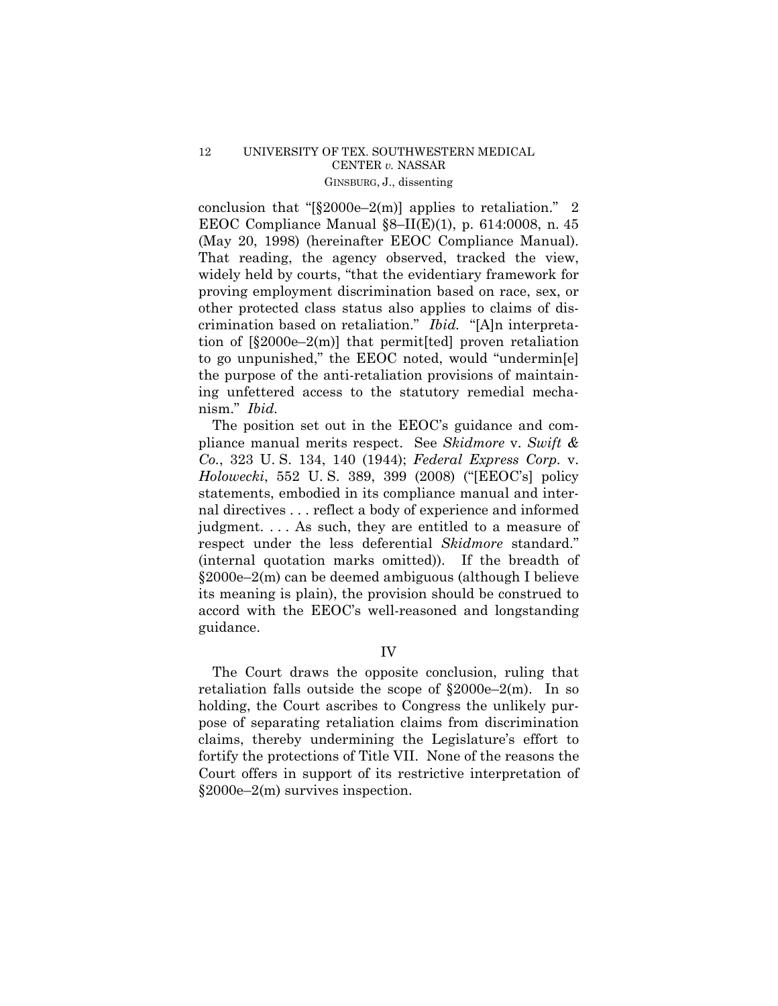(May 20, 1998) (hereinafter EEOC Compliance Manual). conclusion that " $[\$2000e-2(m)]$  applies to retaliation." 2 EEOC Compliance Manual  $\S8-II(E)(1)$ , p. 614:0008, n. 45 That reading, the agency observed, tracked the view, widely held by courts, "that the evidentiary framework for proving employment discrimination based on race, sex, or other protected class status also applies to claims of discrimination based on retaliation." *Ibid.* "[A]n interpretation of [§2000e–2(m)] that permit[ted] proven retaliation to go unpunished," the EEOC noted, would "undermin[e] the purpose of the anti-retaliation provisions of maintaining unfettered access to the statutory remedial mechanism." *Ibid.* 

The position set out in the EEOC's guidance and compliance manual merits respect. See *Skidmore* v. *Swift & Co.*, 323 U. S. 134, 140 (1944); *Federal Express Corp.* v. *Holowecki*, 552 U. S. 389, 399 (2008) ("[EEOC's] policy statements, embodied in its compliance manual and internal directives . . . reflect a body of experience and informed judgment. . . . As such, they are entitled to a measure of respect under the less deferential *Skidmore* standard." (internal quotation marks omitted)). If the breadth of §2000e–2(m) can be deemed ambiguous (although I believe its meaning is plain), the provision should be construed to accord with the EEOC's well-reasoned and longstanding guidance.

IV

The Court draws the opposite conclusion, ruling that retaliation falls outside the scope of  $\S2000e-2(m)$ . In so holding, the Court ascribes to Congress the unlikely purpose of separating retaliation claims from discrimination claims, thereby undermining the Legislature's effort to fortify the protections of Title VII. None of the reasons the Court offers in support of its restrictive interpretation of §2000e–2(m) survives inspection.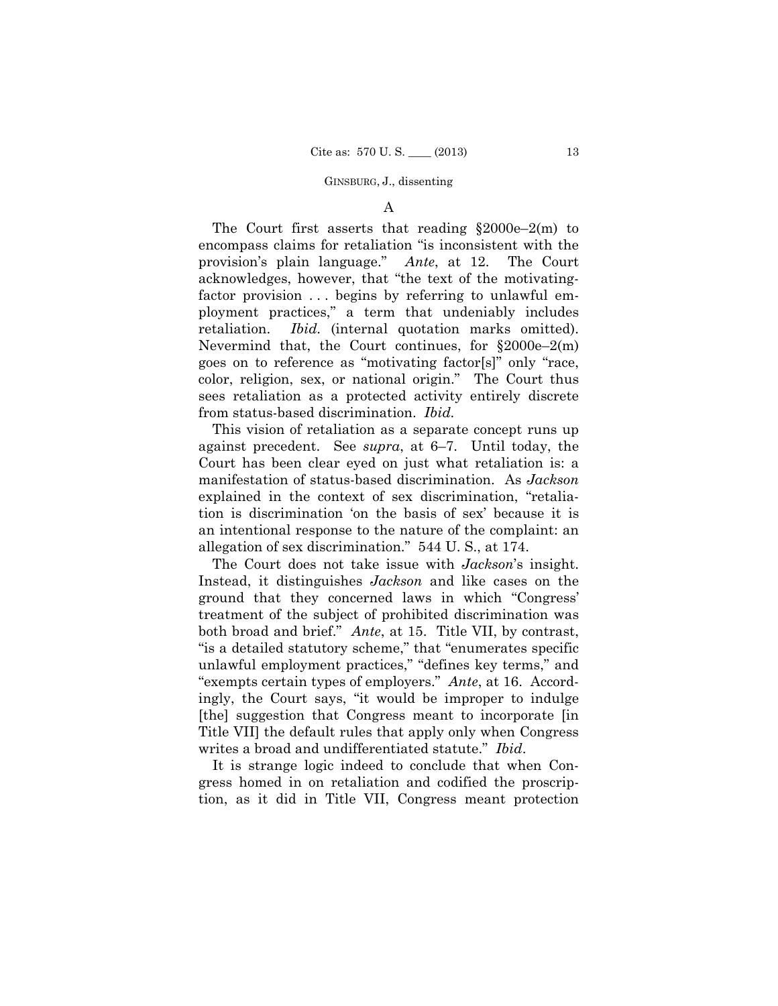### A

The Court first asserts that reading  $$2000e-2(m)$  to encompass claims for retaliation "is inconsistent with the provision's plain language." *Ante*, at 12. The Court acknowledges, however, that "the text of the motivatingfactor provision . . . begins by referring to unlawful employment practices," a term that undeniably includes retaliation. *Ibid.* (internal quotation marks omitted). Nevermind that, the Court continues, for  $$2000e-2(m)$ goes on to reference as "motivating factor[s]" only "race, color, religion, sex, or national origin." The Court thus sees retaliation as a protected activity entirely discrete from status-based discrimination. *Ibid.* 

This vision of retaliation as a separate concept runs up against precedent. See *supra*, at 6–7. Until today, the Court has been clear eyed on just what retaliation is: a manifestation of status-based discrimination. As *Jackson*  explained in the context of sex discrimination, "retaliation is discrimination 'on the basis of sex' because it is an intentional response to the nature of the complaint: an allegation of sex discrimination." 544 U. S., at 174.

The Court does not take issue with *Jackson*'s insight. Instead, it distinguishes *Jackson* and like cases on the ground that they concerned laws in which "Congress' treatment of the subject of prohibited discrimination was both broad and brief." *Ante*, at 15. Title VII, by contrast, "is a detailed statutory scheme," that "enumerates specific unlawful employment practices," "defines key terms," and "exempts certain types of employers." *Ante*, at 16. Accordingly, the Court says, "it would be improper to indulge [the] suggestion that Congress meant to incorporate [in Title VII] the default rules that apply only when Congress writes a broad and undifferentiated statute." *Ibid*.

It is strange logic indeed to conclude that when Congress homed in on retaliation and codified the proscription, as it did in Title VII, Congress meant protection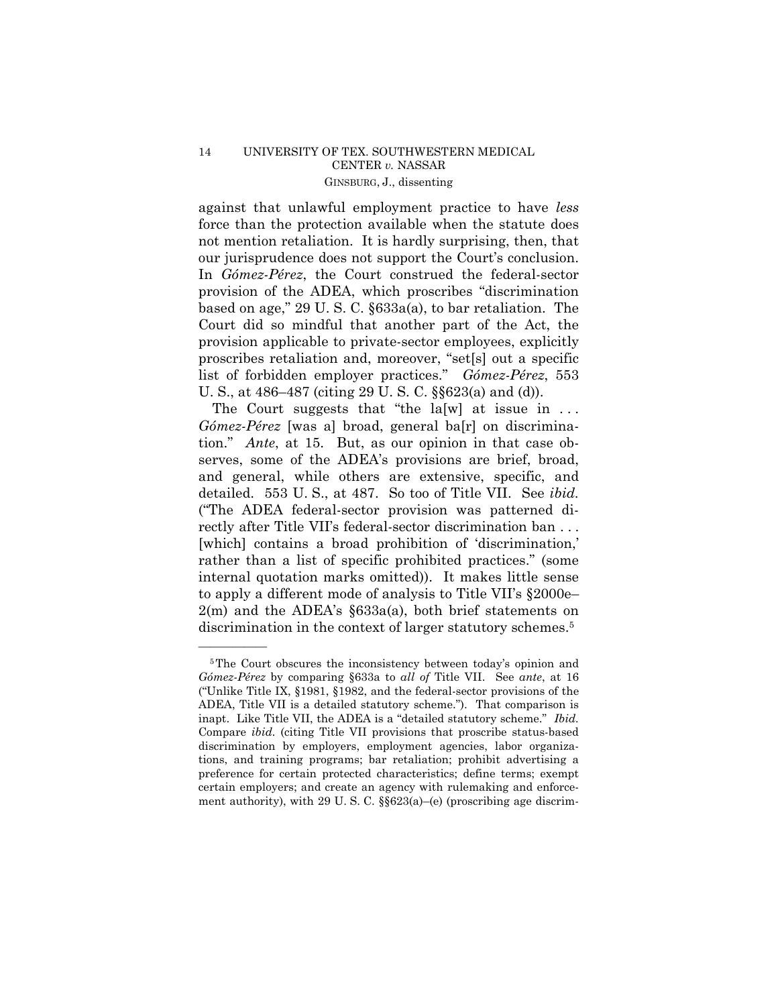against that unlawful employment practice to have *less*  force than the protection available when the statute does not mention retaliation. It is hardly surprising, then, that our jurisprudence does not support the Court's conclusion. In *Gómez-Pérez*, the Court construed the federal-sector provision of the ADEA, which proscribes "discrimination based on age," 29 U. S. C. §633a(a), to bar retaliation. The Court did so mindful that another part of the Act, the provision applicable to private-sector employees, explicitly proscribes retaliation and, moreover, "set[s] out a specific list of forbidden employer practices." *Gómez-Pérez*, 553 U. S., at 486–487 (citing 29 U. S. C. §§623(a) and (d)).

The Court suggests that "the  $a[w]$  at issue in ... *Gómez-Pérez* [was a] broad, general ba[r] on discrimination." *Ante*, at 15. But, as our opinion in that case observes, some of the ADEA's provisions are brief, broad, and general, while others are extensive, specific, and detailed. 553 U. S., at 487. So too of Title VII. See *ibid.*  ("The ADEA federal-sector provision was patterned directly after Title VII's federal-sector discrimination ban . . . [which] contains a broad prohibition of 'discrimination,' rather than a list of specific prohibited practices." (some internal quotation marks omitted)). It makes little sense to apply a different mode of analysis to Title VII's §2000e–  $2(m)$  and the ADEA's  $\S 633a(a)$ , both brief statements on discrimination in the context of larger statutory schemes.<sup>5</sup>

——————

<sup>5</sup>The Court obscures the inconsistency between today's opinion and *Gómez-Pérez* by comparing §633a to *all of* Title VII. See *ante*, at 16 ("Unlike Title IX, §1981, §1982, and the federal-sector provisions of the ADEA, Title VII is a detailed statutory scheme."). That comparison is inapt. Like Title VII, the ADEA is a "detailed statutory scheme." *Ibid.*  Compare *ibid.* (citing Title VII provisions that proscribe status-based discrimination by employers, employment agencies, labor organizations, and training programs; bar retaliation; prohibit advertising a preference for certain protected characteristics; define terms; exempt certain employers; and create an agency with rulemaking and enforcement authority), with 29 U.S. C.  $\S623(a)$ –(e) (proscribing age discrim-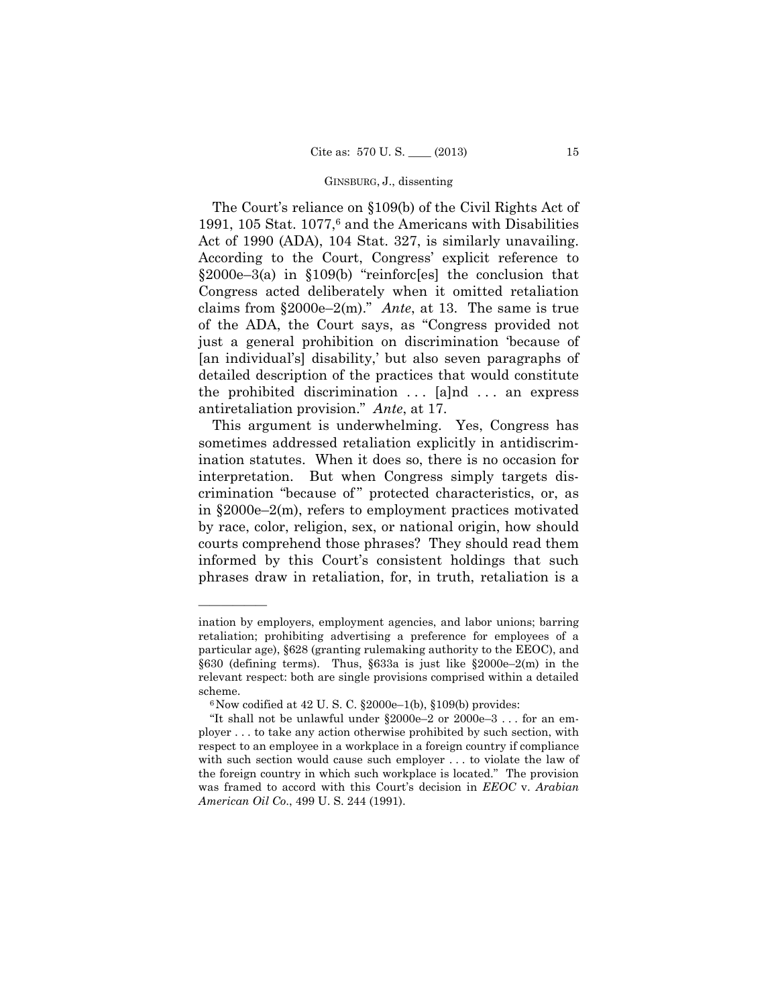The Court's reliance on §109(b) of the Civil Rights Act of 1991, 105 Stat. 1077,6 and the Americans with Disabilities Act of 1990 (ADA), 104 Stat. 327, is similarly unavailing. According to the Court, Congress' explicit reference to §2000e–3(a) in §109(b) "reinforc[es] the conclusion that Congress acted deliberately when it omitted retaliation claims from §2000e–2(m)." *Ante*, at 13. The same is true of the ADA, the Court says, as "Congress provided not just a general prohibition on discrimination 'because of [an individual's] disability,' but also seven paragraphs of detailed description of the practices that would constitute the prohibited discrimination  $\ldots$  [a]nd  $\ldots$  an express antiretaliation provision." *Ante*, at 17.

This argument is underwhelming. Yes, Congress has sometimes addressed retaliation explicitly in antidiscrimination statutes. When it does so, there is no occasion for interpretation. But when Congress simply targets discrimination "because of" protected characteristics, or, as in §2000e–2(m), refers to employment practices motivated by race, color, religion, sex, or national origin, how should courts comprehend those phrases? They should read them informed by this Court's consistent holdings that such phrases draw in retaliation, for, in truth, retaliation is a

——————

ination by employers, employment agencies, and labor unions; barring retaliation; prohibiting advertising a preference for employees of a particular age), §628 (granting rulemaking authority to the EEOC), and §630 (defining terms). Thus, §633a is just like §2000e–2(m) in the relevant respect: both are single provisions comprised within a detailed scheme.<br><sup>6</sup>Now codified at 42 U. S. C. §2000e–1(b), §109(b) provides:

<sup>&</sup>quot;It shall not be unlawful under §2000e–2 or 2000e–3 . . . for an employer . . . to take any action otherwise prohibited by such section, with respect to an employee in a workplace in a foreign country if compliance with such section would cause such employer . . . to violate the law of the foreign country in which such workplace is located." The provision was framed to accord with this Court's decision in *EEOC* v. *Arabian American Oil Co*., 499 U. S. 244 (1991).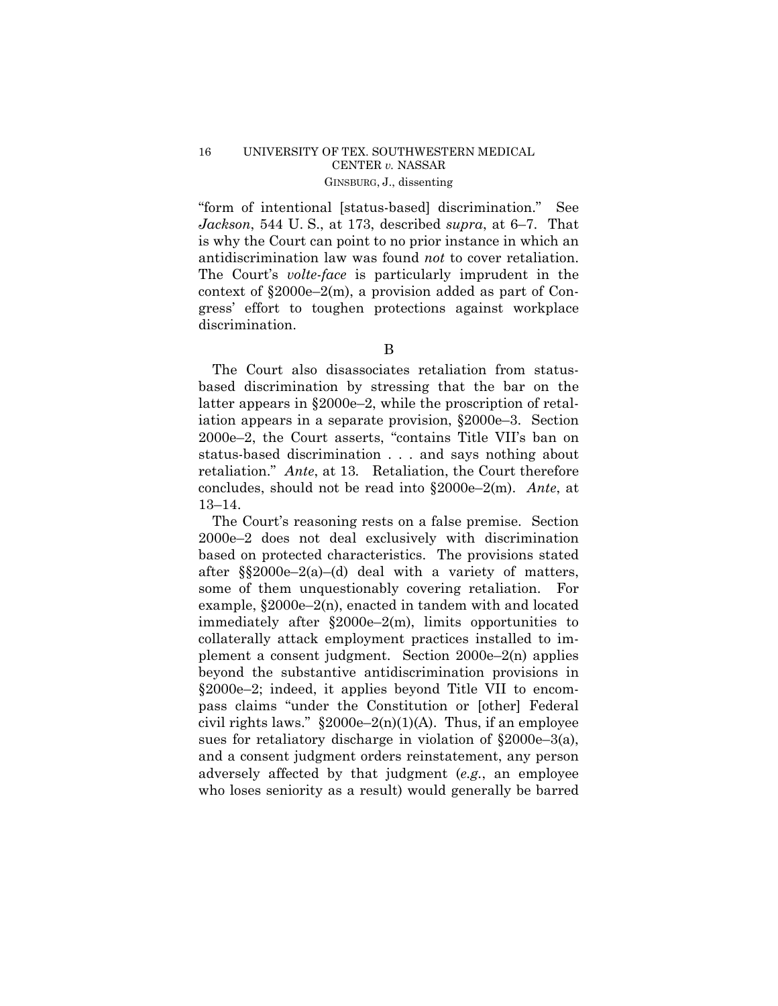### 16 UNIVERSITY OF TEX. SOUTHWESTERN MEDICAL CENTER *v.* NASSAR GINSBURG, J., dissenting

"form of intentional [status-based] discrimination." See *Jackson*, 544 U. S., at 173, described *supra*, at 6–7. That is why the Court can point to no prior instance in which an antidiscrimination law was found *not* to cover retaliation. The Court's *volte-face* is particularly imprudent in the context of §2000e–2(m), a provision added as part of Congress' effort to toughen protections against workplace discrimination.

The Court also disassociates retaliation from statusbased discrimination by stressing that the bar on the latter appears in §2000e–2, while the proscription of retaliation appears in a separate provision, §2000e–3. Section 2000e–2, the Court asserts, "contains Title VII's ban on status-based discrimination . . . and says nothing about retaliation." *Ante*, at 13*.* Retaliation, the Court therefore concludes, should not be read into §2000e–2(m). *Ante*, at 13–14.

The Court's reasoning rests on a false premise. Section 2000e–2 does not deal exclusively with discrimination based on protected characteristics. The provisions stated after  $\S$  $2000e-2(a)$  deal with a variety of matters, some of them unquestionably covering retaliation. For example, §2000e–2(n), enacted in tandem with and located immediately after §2000e–2(m), limits opportunities to collaterally attack employment practices installed to implement a consent judgment. Section 2000e–2(n) applies beyond the substantive antidiscrimination provisions in §2000e–2; indeed, it applies beyond Title VII to encompass claims "under the Constitution or [other] Federal civil rights laws."  $\S2000e-2(n)(1)(A)$ . Thus, if an employee sues for retaliatory discharge in violation of §2000e–3(a), and a consent judgment orders reinstatement, any person adversely affected by that judgment (*e.g.*, an employee who loses seniority as a result) would generally be barred

B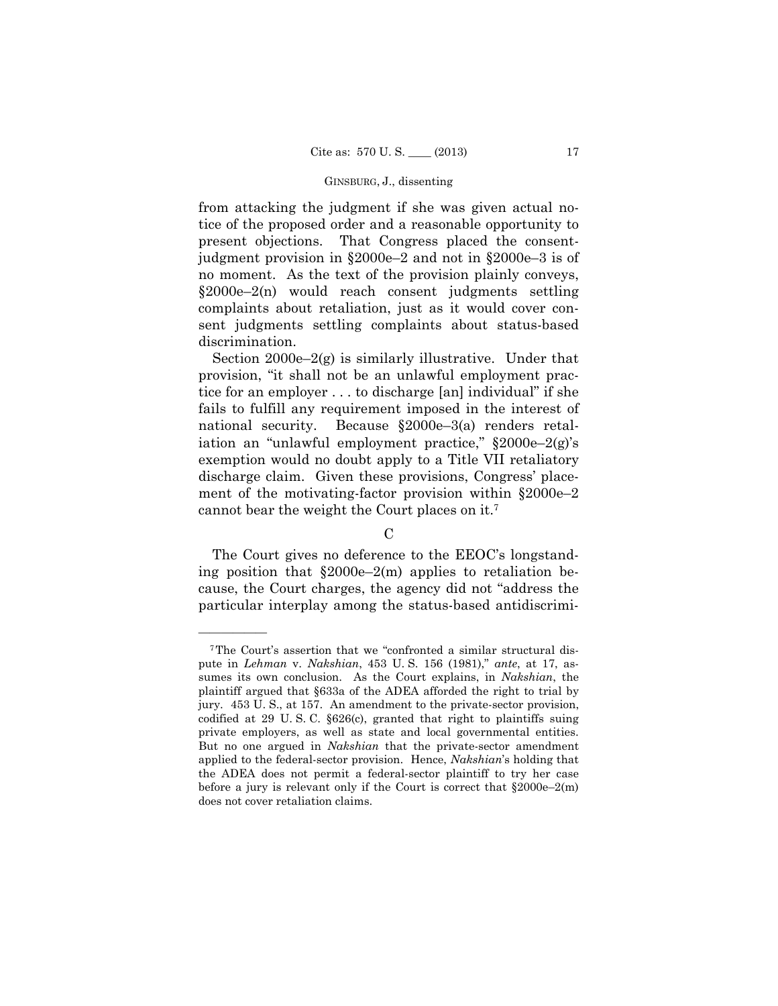from attacking the judgment if she was given actual notice of the proposed order and a reasonable opportunity to present objections. That Congress placed the consentjudgment provision in §2000e–2 and not in §2000e–3 is of no moment. As the text of the provision plainly conveys, §2000e–2(n) would reach consent judgments settling complaints about retaliation, just as it would cover consent judgments settling complaints about status-based discrimination.

Section 2000e–2 $(g)$  is similarly illustrative. Under that provision, "it shall not be an unlawful employment practice for an employer . . . to discharge [an] individual" if she fails to fulfill any requirement imposed in the interest of national security. Because §2000e–3(a) renders retaliation an "unlawful employment practice," §2000e–2(g)'s exemption would no doubt apply to a Title VII retaliatory discharge claim. Given these provisions, Congress' placement of the motivating-factor provision within §2000e–2 cannot bear the weight the Court places on it.7

### $\mathcal{C}$

The Court gives no deference to the EEOC's longstanding position that  $$2000e-2(m)$  applies to retaliation because, the Court charges, the agency did not "address the particular interplay among the status-based antidiscrimi

——————

 sumes its own conclusion. As the Court explains, in *Nakshian*, the private employers, as well as state and local governmental entities. 7The Court's assertion that we "confronted a similar structural dispute in *Lehman* v. *Nakshian*, 453 U. S. 156 (1981)," *ante*, at 17, asplaintiff argued that §633a of the ADEA afforded the right to trial by jury. 453 U. S., at 157. An amendment to the private-sector provision, codified at 29 U. S. C. §626(c), granted that right to plaintiffs suing But no one argued in *Nakshian* that the private-sector amendment applied to the federal-sector provision. Hence, *Nakshian*'s holding that the ADEA does not permit a federal-sector plaintiff to try her case before a jury is relevant only if the Court is correct that  $$2000e-2(m)$ does not cover retaliation claims.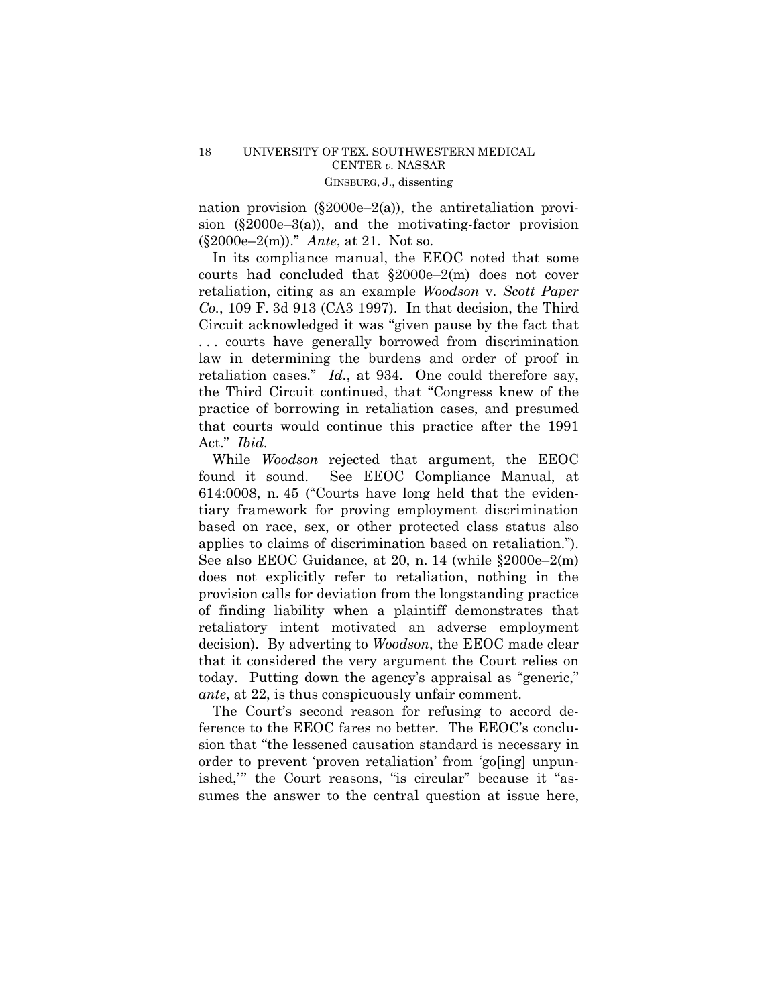nation provision  $(\S 2000e-2(a))$ , the antiretaliation provision  $(\S 2000e-3(a))$ , and the motivating-factor provision (§2000e–2(m))." *Ante*, at 21. Not so.

In its compliance manual, the EEOC noted that some courts had concluded that §2000e–2(m) does not cover retaliation, citing as an example *Woodson* v. *Scott Paper Co.*, 109 F. 3d 913 (CA3 1997). In that decision, the Third Circuit acknowledged it was "given pause by the fact that . . . courts have generally borrowed from discrimination law in determining the burdens and order of proof in retaliation cases." *Id.*, at 934. One could therefore say, the Third Circuit continued, that "Congress knew of the practice of borrowing in retaliation cases, and presumed that courts would continue this practice after the 1991 Act." *Ibid.*

 While *Woodson* rejected that argument, the EEOC found it sound. See EEOC Compliance Manual, at 614:0008, n. 45 ("Courts have long held that the evidentiary framework for proving employment discrimination based on race, sex, or other protected class status also applies to claims of discrimination based on retaliation."). See also EEOC Guidance, at 20, n. 14 (while §2000e–2(m) does not explicitly refer to retaliation, nothing in the provision calls for deviation from the longstanding practice of finding liability when a plaintiff demonstrates that retaliatory intent motivated an adverse employment decision). By adverting to *Woodson*, the EEOC made clear that it considered the very argument the Court relies on today. Putting down the agency's appraisal as "generic," *ante*, at 22, is thus conspicuously unfair comment.

The Court's second reason for refusing to accord deference to the EEOC fares no better. The EEOC's conclusion that "the lessened causation standard is necessary in order to prevent 'proven retaliation' from 'go[ing] unpunished,'" the Court reasons, "is circular" because it "assumes the answer to the central question at issue here,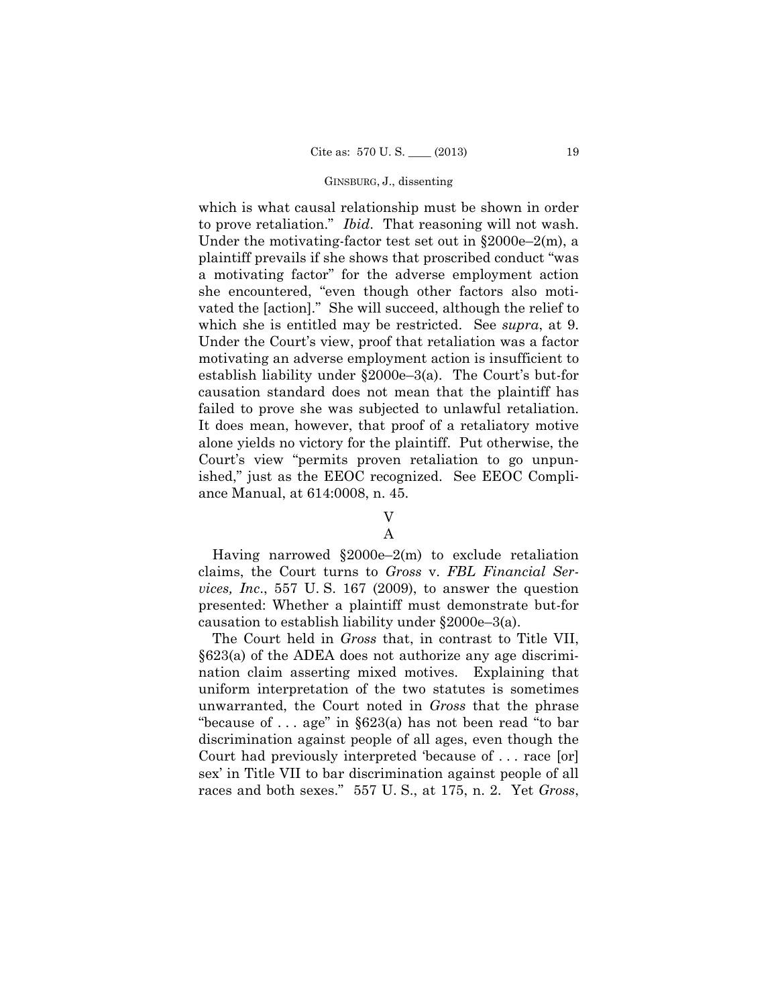which is what causal relationship must be shown in order to prove retaliation." *Ibid*. That reasoning will not wash. Under the motivating-factor test set out in  $\S 2000e^{-2}$ (m), a plaintiff prevails if she shows that proscribed conduct "was a motivating factor" for the adverse employment action she encountered, "even though other factors also motivated the [action]." She will succeed, although the relief to which she is entitled may be restricted. See *supra*, at 9. Under the Court's view, proof that retaliation was a factor motivating an adverse employment action is insufficient to establish liability under §2000e–3(a). The Court's but-for causation standard does not mean that the plaintiff has failed to prove she was subjected to unlawful retaliation. It does mean, however, that proof of a retaliatory motive alone yields no victory for the plaintiff. Put otherwise, the Court's view "permits proven retaliation to go unpunished," just as the EEOC recognized. See EEOC Compliance Manual, at 614:0008, n. 45.

# V

# A

Having narrowed §2000e–2(m) to exclude retaliation claims, the Court turns to *Gross* v. *FBL Financial Services, Inc*., 557 U. S. 167 (2009), to answer the question presented: Whether a plaintiff must demonstrate but-for causation to establish liability under §2000e–3(a).

The Court held in *Gross* that, in contrast to Title VII, §623(a) of the ADEA does not authorize any age discrimination claim asserting mixed motives. Explaining that uniform interpretation of the two statutes is sometimes unwarranted, the Court noted in *Gross* that the phrase "because of . . . age" in §623(a) has not been read "to bar discrimination against people of all ages, even though the Court had previously interpreted 'because of . . . race [or] sex' in Title VII to bar discrimination against people of all races and both sexes." 557 U. S., at 175, n. 2. Yet *Gross*,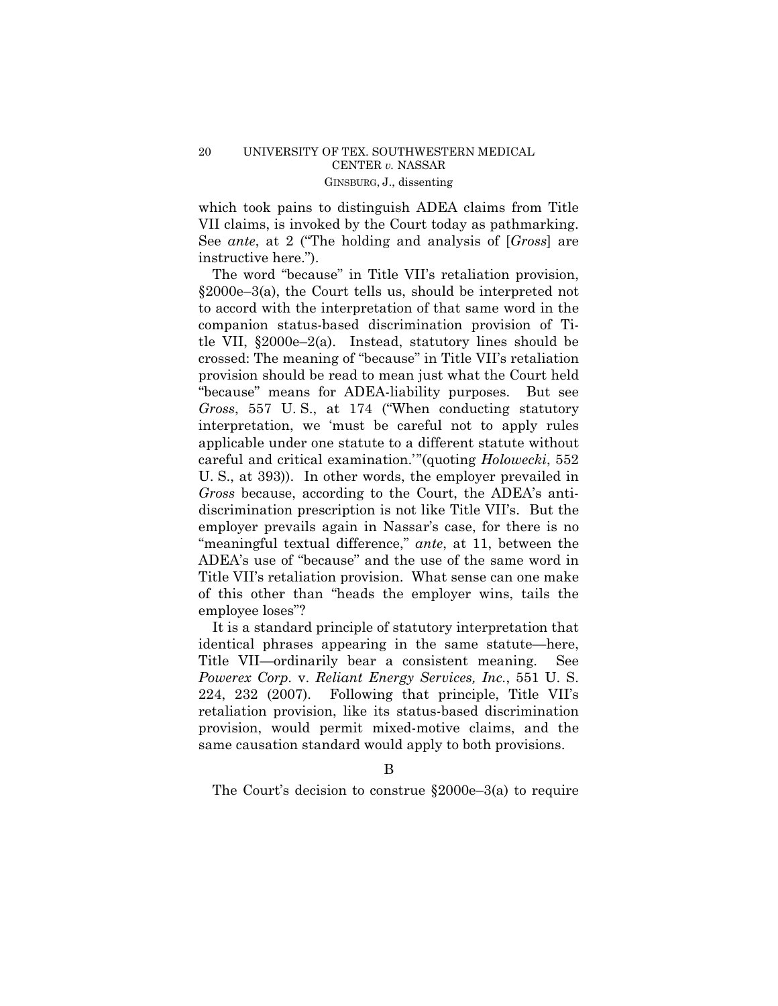which took pains to distinguish ADEA claims from Title VII claims, is invoked by the Court today as pathmarking. See *ante*, at 2 ("The holding and analysis of [*Gross*] are instructive here.").

 *Gross*, 557 U. S., at 174 ("When conducting statutory The word "because" in Title VII's retaliation provision, §2000e–3(a), the Court tells us, should be interpreted not to accord with the interpretation of that same word in the companion status-based discrimination provision of Title VII, §2000e–2(a). Instead, statutory lines should be crossed: The meaning of "because" in Title VII's retaliation provision should be read to mean just what the Court held "because" means for ADEA-liability purposes. But see interpretation, we 'must be careful not to apply rules applicable under one statute to a different statute without careful and critical examination.'"(quoting *Holowecki*, 552 U. S., at 393)). In other words, the employer prevailed in *Gross* because, according to the Court, the ADEA's antidiscrimination prescription is not like Title VII's. But the employer prevails again in Nassar's case, for there is no "meaningful textual difference," *ante*, at 11, between the ADEA's use of "because" and the use of the same word in Title VII's retaliation provision. What sense can one make of this other than "heads the employer wins, tails the employee loses"?

It is a standard principle of statutory interpretation that identical phrases appearing in the same statute—here, Title VII—ordinarily bear a consistent meaning. See *Powerex Corp.* v. *Reliant Energy Services, Inc.*, 551 U. S. 224, 232 (2007). Following that principle, Title VII's retaliation provision, like its status-based discrimination provision, would permit mixed-motive claims, and the same causation standard would apply to both provisions.

The Court's decision to construe §2000e–3(a) to require

 $\mathbf{B}$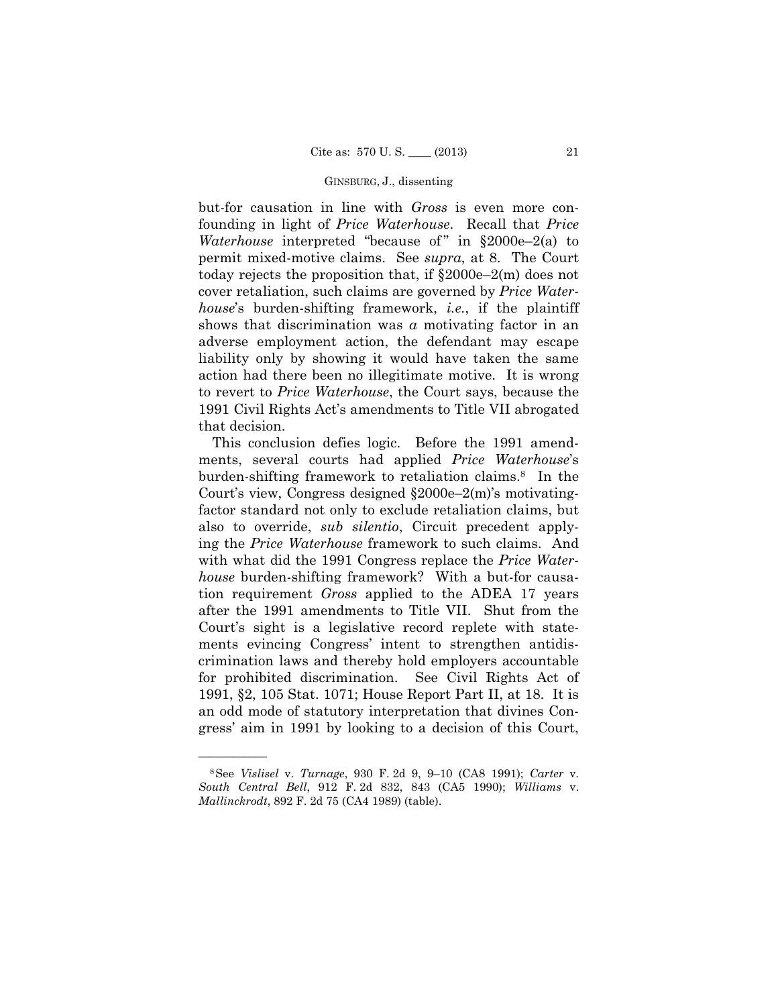but-for causation in line with *Gross* is even more confounding in light of *Price Waterhouse*. Recall that *Price Waterhouse* interpreted "because of" in §2000e–2(a) to permit mixed-motive claims. See *supra*, at 8. The Court today rejects the proposition that, if §2000e–2(m) does not cover retaliation, such claims are governed by *Price Waterhouse*'s burden-shifting framework, *i.e.*, if the plaintiff shows that discrimination was *a* motivating factor in an adverse employment action, the defendant may escape liability only by showing it would have taken the same action had there been no illegitimate motive. It is wrong to revert to *Price Waterhouse*, the Court says, because the 1991 Civil Rights Act's amendments to Title VII abrogated that decision.

 burden-shifting framework to retaliation claims.8 In the This conclusion defies logic. Before the 1991 amendments, several courts had applied *Price Waterhouse*'s Court's view, Congress designed §2000e–2(m)'s motivatingfactor standard not only to exclude retaliation claims, but also to override, *sub silentio*, Circuit precedent applying the *Price Waterhouse* framework to such claims. And with what did the 1991 Congress replace the *Price Waterhouse* burden-shifting framework? With a but-for causation requirement *Gross* applied to the ADEA 17 years after the 1991 amendments to Title VII. Shut from the Court's sight is a legislative record replete with statements evincing Congress' intent to strengthen antidiscrimination laws and thereby hold employers accountable for prohibited discrimination. See Civil Rights Act of 1991, §2, 105 Stat. 1071; House Report Part II, at 18. It is an odd mode of statutory interpretation that divines Congress' aim in 1991 by looking to a decision of this Court,

——————

<sup>8</sup>See *Vislisel* v. *Turnage*, 930 F. 2d 9, 9–10 (CA8 1991); *Carter* v. *South Central Bell*, 912 F. 2d 832, 843 (CA5 1990); *Williams* v. *Mallinckrodt*, 892 F. 2d 75 (CA4 1989) (table).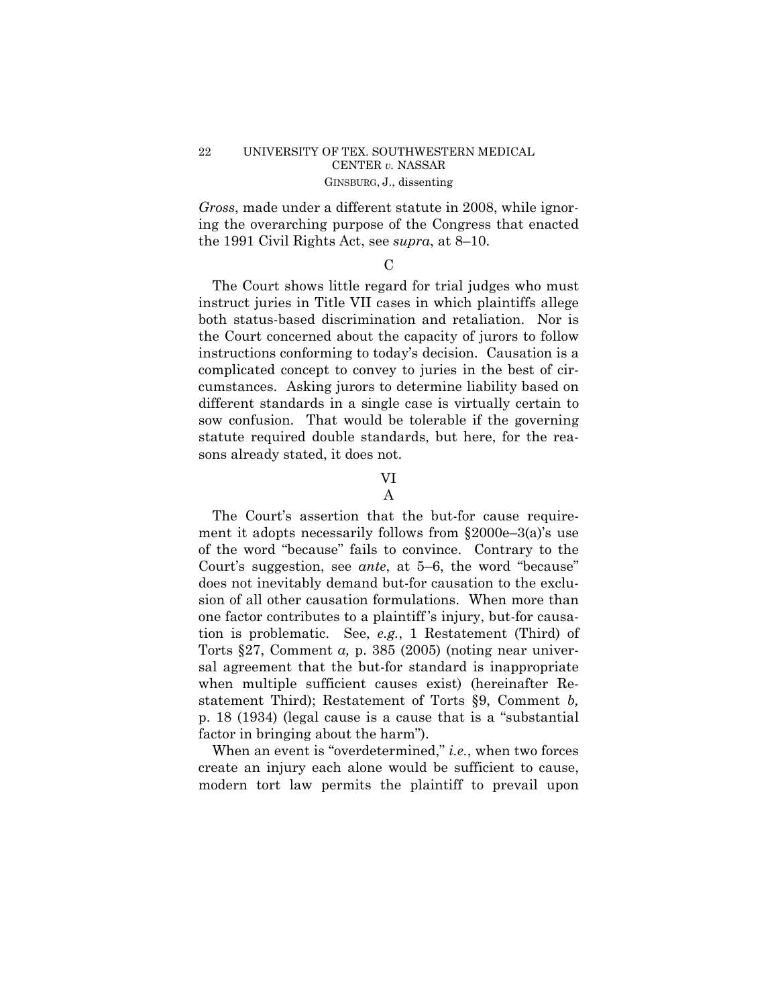### 22 UNIVERSITY OF TEX. SOUTHWESTERN MEDICAL CENTER *v.* NASSAR GINSBURG, J., dissenting

*Gross*, made under a different statute in 2008, while ignoring the overarching purpose of the Congress that enacted the 1991 Civil Rights Act, see *supra*, at 8–10.

 $\mathcal{C}$ 

The Court shows little regard for trial judges who must instruct juries in Title VII cases in which plaintiffs allege both status-based discrimination and retaliation. Nor is the Court concerned about the capacity of jurors to follow instructions conforming to today's decision. Causation is a complicated concept to convey to juries in the best of circumstances. Asking jurors to determine liability based on different standards in a single case is virtually certain to sow confusion. That would be tolerable if the governing statute required double standards, but here, for the reasons already stated, it does not.

# VI

# A

The Court's assertion that the but-for cause requirement it adopts necessarily follows from §2000e–3(a)'s use of the word "because" fails to convince. Contrary to the Court's suggestion, see *ante*, at 5–6, the word "because" does not inevitably demand but-for causation to the exclusion of all other causation formulations. When more than one factor contributes to a plaintiff 's injury, but-for causation is problematic. See, *e.g.*, 1 Restatement (Third) of Torts §27, Comment *a,* p. 385 (2005) (noting near universal agreement that the but-for standard is inappropriate when multiple sufficient causes exist) (hereinafter Restatement Third); Restatement of Torts §9, Comment *b,*  p. 18 (1934) (legal cause is a cause that is a "substantial factor in bringing about the harm").

When an event is "overdetermined," *i.e.*, when two forces create an injury each alone would be sufficient to cause, modern tort law permits the plaintiff to prevail upon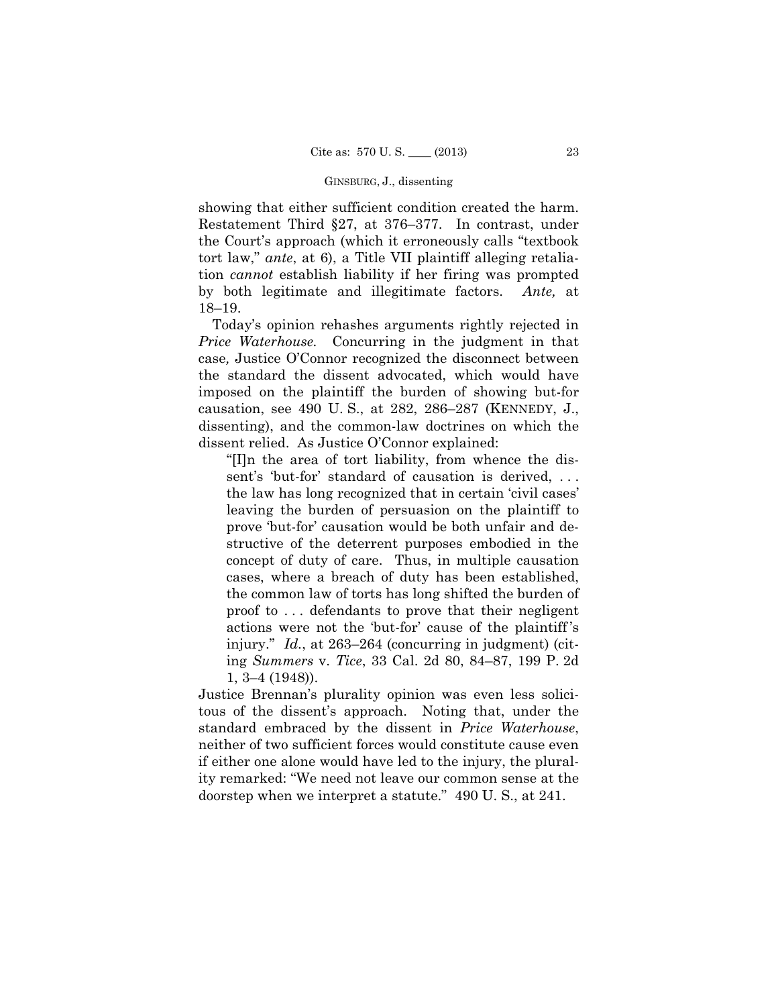showing that either sufficient condition created the harm. Restatement Third §27, at 376–377. In contrast, under the Court's approach (which it erroneously calls "textbook tort law," *ante*, at 6), a Title VII plaintiff alleging retaliation *cannot* establish liability if her firing was prompted by both legitimate and illegitimate factors. *Ante,* at 18–19.

Today's opinion rehashes arguments rightly rejected in *Price Waterhouse.* Concurring in the judgment in that case*,* Justice O'Connor recognized the disconnect between the standard the dissent advocated, which would have imposed on the plaintiff the burden of showing but-for causation, see 490 U. S., at 282, 286–287 (KENNEDY, J., dissenting), and the common-law doctrines on which the dissent relied. As Justice O'Connor explained:

"[I]n the area of tort liability, from whence the dissent's 'but-for' standard of causation is derived, ... the law has long recognized that in certain 'civil cases' leaving the burden of persuasion on the plaintiff to prove 'but-for' causation would be both unfair and destructive of the deterrent purposes embodied in the concept of duty of care. Thus, in multiple causation cases, where a breach of duty has been established, the common law of torts has long shifted the burden of proof to . . . defendants to prove that their negligent actions were not the 'but-for' cause of the plaintiff 's injury." *Id.*, at 263–264 (concurring in judgment) (citing *Summers* v. *Tice*, 33 Cal. 2d 80, 84–87, 199 P. 2d 1, 3–4 (1948)).

Justice Brennan's plurality opinion was even less solicitous of the dissent's approach. Noting that, under the standard embraced by the dissent in *Price Waterhouse*, neither of two sufficient forces would constitute cause even if either one alone would have led to the injury, the plurality remarked: "We need not leave our common sense at the doorstep when we interpret a statute." 490 U. S., at 241.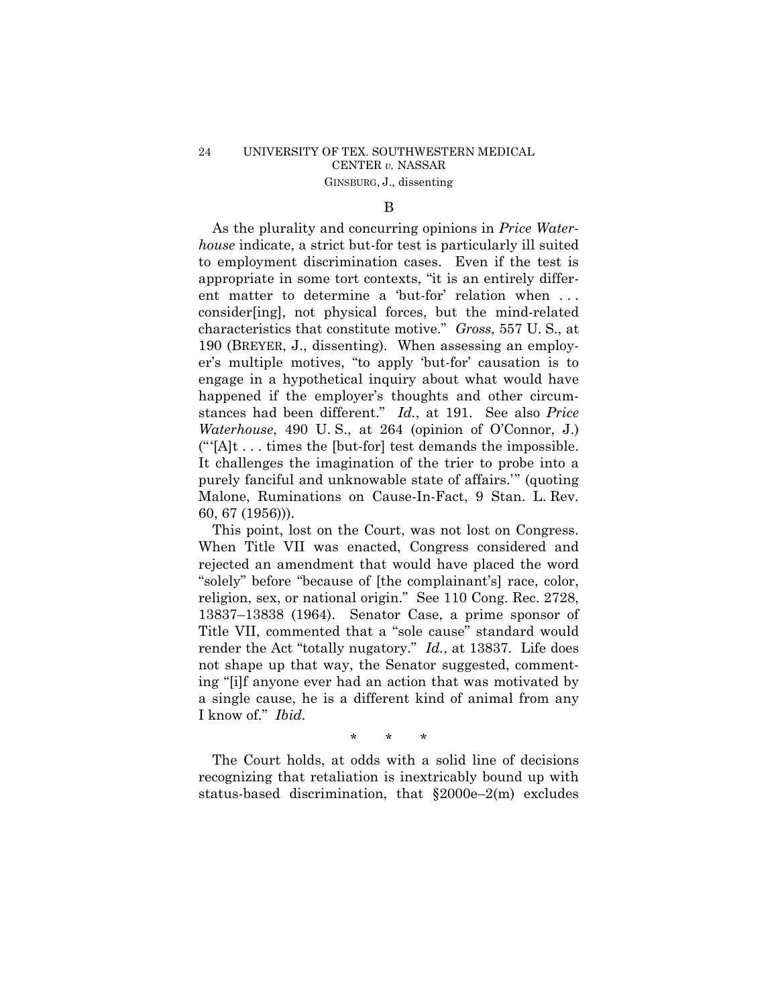B

 characteristics that constitute motive." *Gross*, 557 U. S., at As the plurality and concurring opinions in *Price Waterhouse* indicate, a strict but-for test is particularly ill suited to employment discrimination cases. Even if the test is appropriate in some tort contexts, "it is an entirely different matter to determine a 'but-for' relation when . . . consider[ing], not physical forces, but the mind-related 190 (BREYER, J., dissenting). When assessing an employer's multiple motives, "to apply 'but-for' causation is to engage in a hypothetical inquiry about what would have happened if the employer's thoughts and other circumstances had been different." *Id.*, at 191. See also *Price Waterhouse*, 490 U. S., at 264 (opinion of O'Connor, J.)  $("A]t \ldots$  times the [but-for] test demands the impossible. It challenges the imagination of the trier to probe into a purely fanciful and unknowable state of affairs.'" (quoting Malone, Ruminations on Cause-In-Fact, 9 Stan. L. Rev. 60, 67 (1956))).

This point, lost on the Court, was not lost on Congress. When Title VII was enacted, Congress considered and rejected an amendment that would have placed the word "solely" before "because of [the complainant's] race, color, religion, sex, or national origin." See 110 Cong. Rec. 2728, 13837–13838 (1964). Senator Case, a prime sponsor of Title VII, commented that a "sole cause" standard would render the Act "totally nugatory." *Id.*, at 13837. Life does not shape up that way, the Senator suggested, commenting "[i]f anyone ever had an action that was motivated by a single cause, he is a different kind of animal from any I know of." *Ibid.* 

\* \* \*

The Court holds, at odds with a solid line of decisions recognizing that retaliation is inextricably bound up with status-based discrimination, that §2000e–2(m) excludes